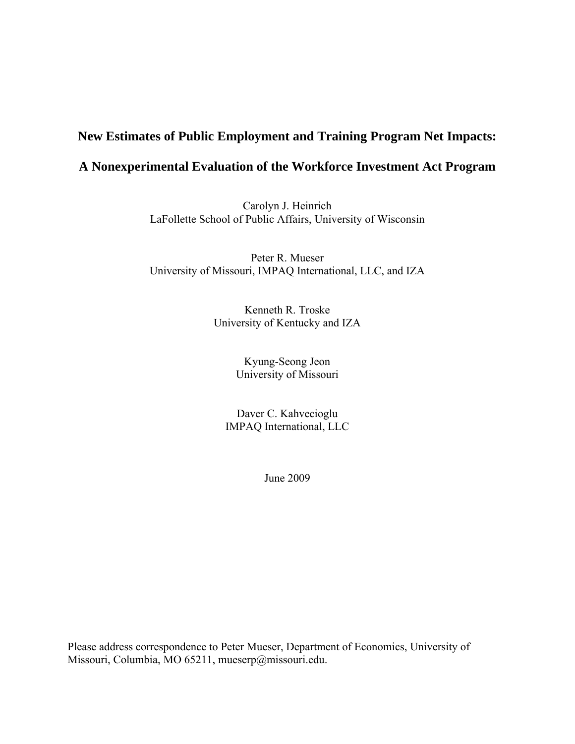# **New Estimates of Public Employment and Training Program Net Impacts:**

# **A Nonexperimental Evaluation of the Workforce Investment Act Program**

Carolyn J. Heinrich LaFollette School of Public Affairs, University of Wisconsin

Peter R. Mueser University of Missouri, IMPAQ International, LLC, and IZA

> Kenneth R. Troske University of Kentucky and IZA

> > Kyung-Seong Jeon University of Missouri

Daver C. Kahvecioglu IMPAQ International, LLC

June 2009

Please address correspondence to Peter Mueser, Department of Economics, University of Missouri, Columbia, MO 65211, mueserp@missouri.edu.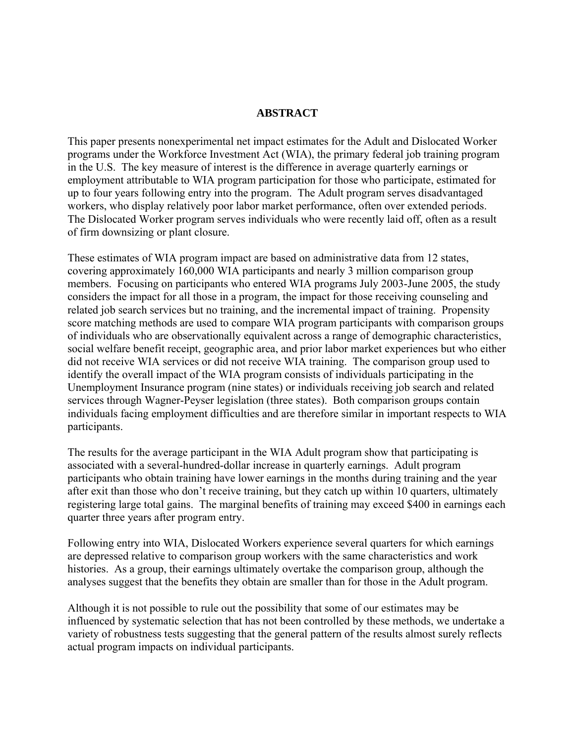#### **ABSTRACT**

This paper presents nonexperimental net impact estimates for the Adult and Dislocated Worker programs under the Workforce Investment Act (WIA), the primary federal job training program in the U.S. The key measure of interest is the difference in average quarterly earnings or employment attributable to WIA program participation for those who participate, estimated for up to four years following entry into the program. The Adult program serves disadvantaged workers, who display relatively poor labor market performance, often over extended periods. The Dislocated Worker program serves individuals who were recently laid off, often as a result of firm downsizing or plant closure.

These estimates of WIA program impact are based on administrative data from 12 states, covering approximately 160,000 WIA participants and nearly 3 million comparison group members. Focusing on participants who entered WIA programs July 2003-June 2005, the study considers the impact for all those in a program, the impact for those receiving counseling and related job search services but no training, and the incremental impact of training. Propensity score matching methods are used to compare WIA program participants with comparison groups of individuals who are observationally equivalent across a range of demographic characteristics, social welfare benefit receipt, geographic area, and prior labor market experiences but who either did not receive WIA services or did not receive WIA training. The comparison group used to identify the overall impact of the WIA program consists of individuals participating in the Unemployment Insurance program (nine states) or individuals receiving job search and related services through Wagner-Peyser legislation (three states). Both comparison groups contain individuals facing employment difficulties and are therefore similar in important respects to WIA participants.

The results for the average participant in the WIA Adult program show that participating is associated with a several-hundred-dollar increase in quarterly earnings. Adult program participants who obtain training have lower earnings in the months during training and the year after exit than those who don't receive training, but they catch up within 10 quarters, ultimately registering large total gains. The marginal benefits of training may exceed \$400 in earnings each quarter three years after program entry.

Following entry into WIA, Dislocated Workers experience several quarters for which earnings are depressed relative to comparison group workers with the same characteristics and work histories. As a group, their earnings ultimately overtake the comparison group, although the analyses suggest that the benefits they obtain are smaller than for those in the Adult program.

Although it is not possible to rule out the possibility that some of our estimates may be influenced by systematic selection that has not been controlled by these methods, we undertake a variety of robustness tests suggesting that the general pattern of the results almost surely reflects actual program impacts on individual participants.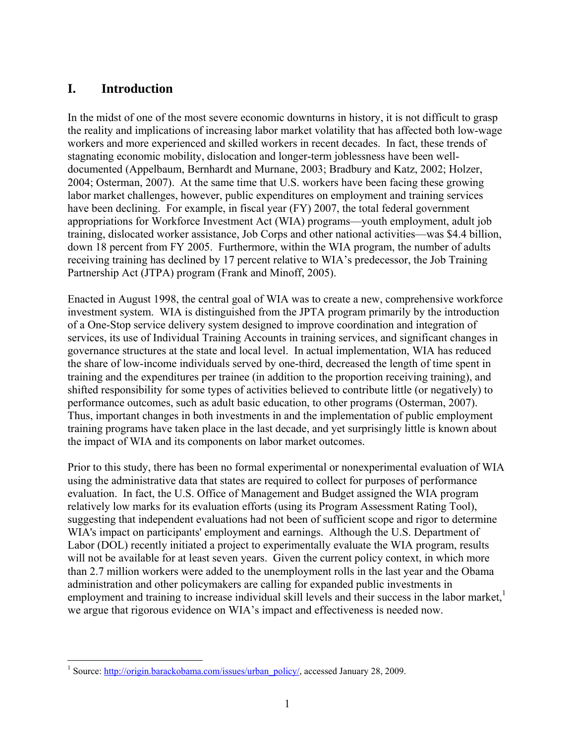# **I. Introduction**

In the midst of one of the most severe economic downturns in history, it is not difficult to grasp the reality and implications of increasing labor market volatility that has affected both low-wage workers and more experienced and skilled workers in recent decades. In fact, these trends of stagnating economic mobility, dislocation and longer-term joblessness have been welldocumented (Appelbaum, Bernhardt and Murnane, 2003; Bradbury and Katz, 2002; Holzer, 2004; Osterman, 2007). At the same time that U.S. workers have been facing these growing labor market challenges, however, public expenditures on employment and training services have been declining. For example, in fiscal year (FY) 2007, the total federal government appropriations for Workforce Investment Act (WIA) programs—youth employment, adult job training, dislocated worker assistance, Job Corps and other national activities—was \$4.4 billion, down 18 percent from FY 2005. Furthermore, within the WIA program, the number of adults receiving training has declined by 17 percent relative to WIA's predecessor, the Job Training Partnership Act (JTPA) program (Frank and Minoff, 2005).

Enacted in August 1998, the central goal of WIA was to create a new, comprehensive workforce investment system. WIA is distinguished from the JPTA program primarily by the introduction of a One-Stop service delivery system designed to improve coordination and integration of services, its use of Individual Training Accounts in training services, and significant changes in governance structures at the state and local level. In actual implementation, WIA has reduced the share of low-income individuals served by one-third, decreased the length of time spent in training and the expenditures per trainee (in addition to the proportion receiving training), and shifted responsibility for some types of activities believed to contribute little (or negatively) to performance outcomes, such as adult basic education, to other programs (Osterman, 2007). Thus, important changes in both investments in and the implementation of public employment training programs have taken place in the last decade, and yet surprisingly little is known about the impact of WIA and its components on labor market outcomes.

Prior to this study, there has been no formal experimental or nonexperimental evaluation of WIA using the administrative data that states are required to collect for purposes of performance evaluation. In fact, the U.S. Office of Management and Budget assigned the WIA program relatively low marks for its evaluation efforts (using its Program Assessment Rating Tool), suggesting that independent evaluations had not been of sufficient scope and rigor to determine WIA's impact on participants' employment and earnings. Although the U.S. Department of Labor (DOL) recently initiated a project to experimentally evaluate the WIA program, results will not be available for at least seven years. Given the current policy context, in which more than 2.7 million workers were added to the unemployment rolls in the last year and the Obama administration and other policymakers are calling for expanded public investments in employment and training to increase individual skill levels and their success in the labor market, we argue that rigorous evidence on WIA's impact and effectiveness is needed now.

<sup>1&</sup>lt;br>
<sup>1</sup> Source: http://origin.barackobama.com/issues/urban\_policy/, accessed January 28, 2009.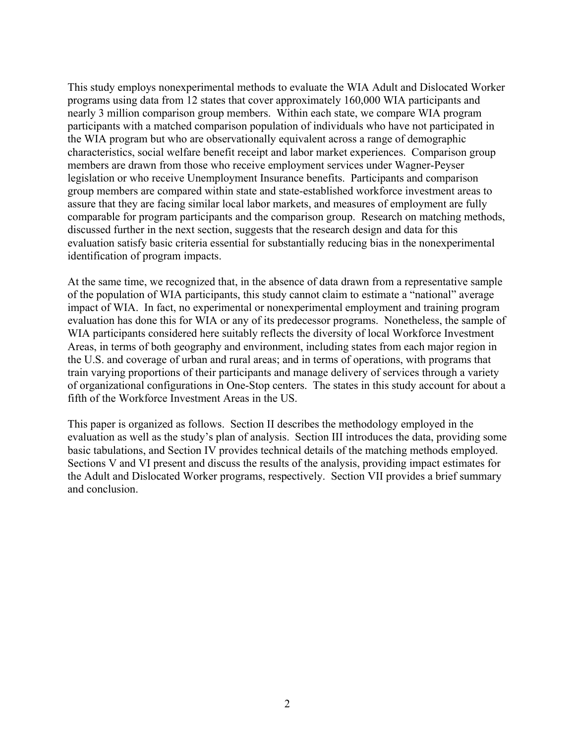This study employs nonexperimental methods to evaluate the WIA Adult and Dislocated Worker programs using data from 12 states that cover approximately 160,000 WIA participants and nearly 3 million comparison group members. Within each state, we compare WIA program participants with a matched comparison population of individuals who have not participated in the WIA program but who are observationally equivalent across a range of demographic characteristics, social welfare benefit receipt and labor market experiences. Comparison group members are drawn from those who receive employment services under Wagner-Peyser legislation or who receive Unemployment Insurance benefits. Participants and comparison group members are compared within state and state-established workforce investment areas to assure that they are facing similar local labor markets, and measures of employment are fully comparable for program participants and the comparison group. Research on matching methods, discussed further in the next section, suggests that the research design and data for this evaluation satisfy basic criteria essential for substantially reducing bias in the nonexperimental identification of program impacts.

At the same time, we recognized that, in the absence of data drawn from a representative sample of the population of WIA participants, this study cannot claim to estimate a "national" average impact of WIA. In fact, no experimental or nonexperimental employment and training program evaluation has done this for WIA or any of its predecessor programs. Nonetheless, the sample of WIA participants considered here suitably reflects the diversity of local Workforce Investment Areas, in terms of both geography and environment, including states from each major region in the U.S. and coverage of urban and rural areas; and in terms of operations, with programs that train varying proportions of their participants and manage delivery of services through a variety of organizational configurations in One-Stop centers. The states in this study account for about a fifth of the Workforce Investment Areas in the US.

This paper is organized as follows. Section II describes the methodology employed in the evaluation as well as the study's plan of analysis. Section III introduces the data, providing some basic tabulations, and Section IV provides technical details of the matching methods employed. Sections V and VI present and discuss the results of the analysis, providing impact estimates for the Adult and Dislocated Worker programs, respectively. Section VII provides a brief summary and conclusion.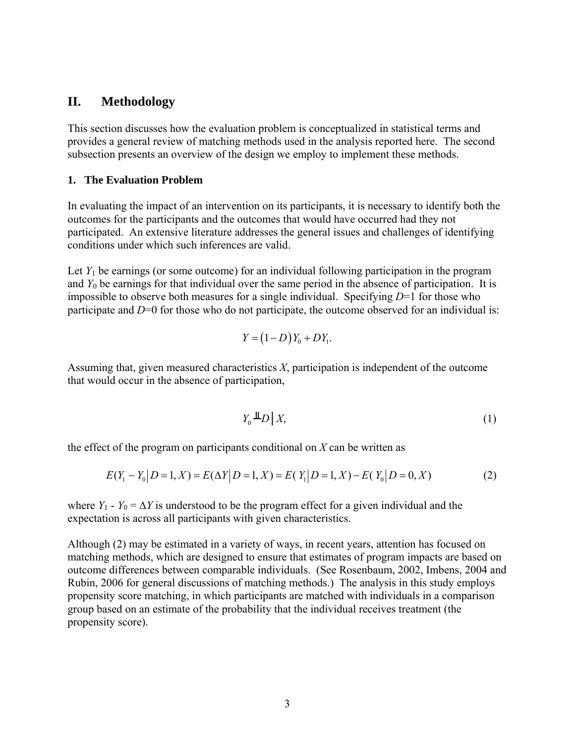### **II. Methodology**

This section discusses how the evaluation problem is conceptualized in statistical terms and provides a general review of matching methods used in the analysis reported here. The second subsection presents an overview of the design we employ to implement these methods.

#### **1. The Evaluation Problem**

In evaluating the impact of an intervention on its participants, it is necessary to identify both the outcomes for the participants and the outcomes that would have occurred had they not participated. An extensive literature addresses the general issues and challenges of identifying conditions under which such inferences are valid.

Let  $Y_1$  be earnings (or some outcome) for an individual following participation in the program and  $Y_0$  be earnings for that individual over the same period in the absence of participation. It is impossible to observe both measures for a single individual. Specifying *D*=1 for those who participate and *D*=0 for those who do not participate, the outcome observed for an individual is:

$$
Y = (1 - D)Y_0 + DY_1.
$$

Assuming that, given measured characteristics *X*, participation is independent of the outcome that would occur in the absence of participation,

$$
Y_0 \triangleq D \mid X,\tag{1}
$$

the effect of the program on participants conditional on *X* can be written as

$$
E(Y_1 - Y_0 | D = 1, X) = E(\Delta Y | D = 1, X) = E(Y_1 | D = 1, X) - E(Y_0 | D = 0, X)
$$
\n(2)

where *Y*<sub>1</sub> - *Y*<sub>0</sub> =  $\Delta$ *Y* is understood to be the program effect for a given individual and the expectation is across all participants with given characteristics.

Although (2) may be estimated in a variety of ways, in recent years, attention has focused on matching methods, which are designed to ensure that estimates of program impacts are based on outcome differences between comparable individuals. (See Rosenbaum, 2002, Imbens, 2004 and Rubin, 2006 for general discussions of matching methods.) The analysis in this study employs propensity score matching, in which participants are matched with individuals in a comparison group based on an estimate of the probability that the individual receives treatment (the propensity score).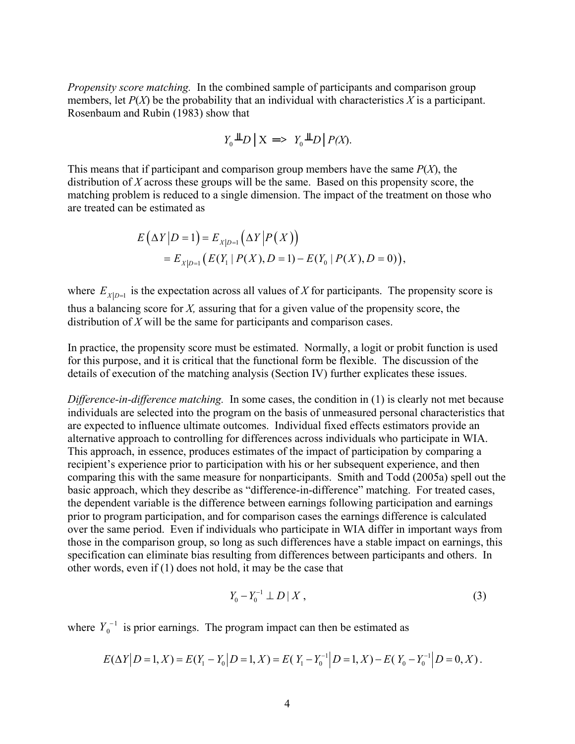*Propensity score matching.*In the combined sample of participants and comparison group members, let  $P(X)$  be the probability that an individual with characteristics X is a participant. Rosenbaum and Rubin (1983) show that

$$
Y_0 \perp \!\!\!\perp D \mid X \implies Y_0 \perp \!\!\!\perp D \mid P(X).
$$

This means that if participant and comparison group members have the same *P*(*X*), the distribution of *X* across these groups will be the same. Based on this propensity score, the matching problem is reduced to a single dimension. The impact of the treatment on those who are treated can be estimated as

$$
E(\Delta Y|D=1) = E_{X|D=1}(\Delta Y|P(X))
$$
  
=  $E_{X|D=1}(E(Y_1|P(X), D=1) - E(Y_0|P(X), D=0)),$ 

where  $E_{X|D=1}$  is the expectation across all values of *X* for participants. The propensity score is thus a balancing score for *X,* assuring that for a given value of the propensity score, the distribution of *X* will be the same for participants and comparison cases.

In practice, the propensity score must be estimated. Normally, a logit or probit function is used for this purpose, and it is critical that the functional form be flexible. The discussion of the details of execution of the matching analysis (Section IV) further explicates these issues.

*Difference-in-difference matching.*In some cases, the condition in (1) is clearly not met because individuals are selected into the program on the basis of unmeasured personal characteristics that are expected to influence ultimate outcomes. Individual fixed effects estimators provide an alternative approach to controlling for differences across individuals who participate in WIA. This approach, in essence, produces estimates of the impact of participation by comparing a recipient's experience prior to participation with his or her subsequent experience, and then comparing this with the same measure for nonparticipants. Smith and Todd (2005a) spell out the basic approach, which they describe as "difference-in-difference" matching. For treated cases, the dependent variable is the difference between earnings following participation and earnings prior to program participation, and for comparison cases the earnings difference is calculated over the same period. Even if individuals who participate in WIA differ in important ways from those in the comparison group, so long as such differences have a stable impact on earnings, this specification can eliminate bias resulting from differences between participants and others. In other words, even if (1) does not hold, it may be the case that

$$
Y_0 - Y_0^{-1} \perp D \mid X \,, \tag{3}
$$

where  $Y_0^{-1}$  is prior earnings. The program impact can then be estimated as

$$
E(\Delta Y | D = 1, X) = E(Y_1 - Y_0 | D = 1, X) = E(Y_1 - Y_0^{-1} | D = 1, X) - E(Y_0 - Y_0^{-1} | D = 0, X).
$$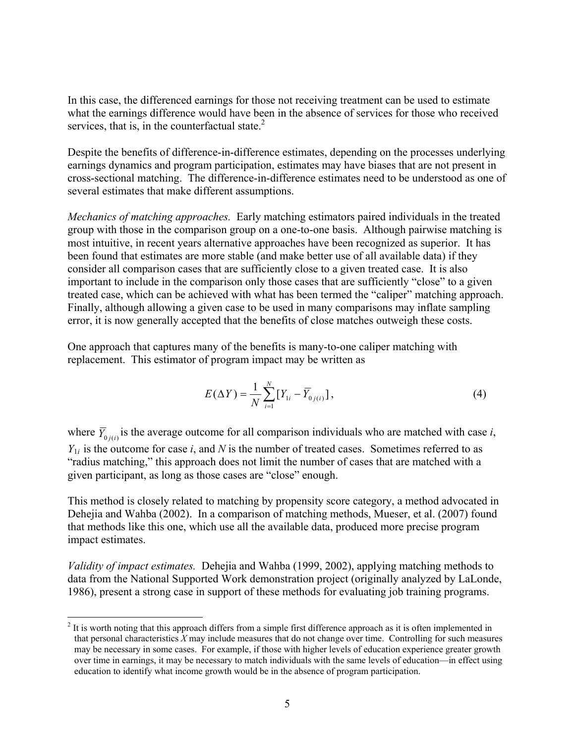In this case, the differenced earnings for those not receiving treatment can be used to estimate what the earnings difference would have been in the absence of services for those who received services, that is, in the counterfactual state. $2$ 

Despite the benefits of difference-in-difference estimates, depending on the processes underlying earnings dynamics and program participation, estimates may have biases that are not present in cross-sectional matching. The difference-in-difference estimates need to be understood as one of several estimates that make different assumptions.

*Mechanics of matching approaches.*Early matching estimators paired individuals in the treated group with those in the comparison group on a one-to-one basis. Although pairwise matching is most intuitive, in recent years alternative approaches have been recognized as superior. It has been found that estimates are more stable (and make better use of all available data) if they consider all comparison cases that are sufficiently close to a given treated case. It is also important to include in the comparison only those cases that are sufficiently "close" to a given treated case, which can be achieved with what has been termed the "caliper" matching approach. Finally, although allowing a given case to be used in many comparisons may inflate sampling error, it is now generally accepted that the benefits of close matches outweigh these costs.

One approach that captures many of the benefits is many-to-one caliper matching with replacement. This estimator of program impact may be written as

$$
E(\Delta Y) = \frac{1}{N} \sum_{i=1}^{N} \left[ Y_{1i} - \overline{Y}_{0j(i)} \right],
$$
 (4)

where  $\overline{Y}_{0j(i)}$  is the average outcome for all comparison individuals who are matched with case *i*,  $Y_{1i}$  is the outcome for case *i*, and *N* is the number of treated cases. Sometimes referred to as "radius matching," this approach does not limit the number of cases that are matched with a given participant, as long as those cases are "close" enough.

This method is closely related to matching by propensity score category, a method advocated in Dehejia and Wahba (2002). In a comparison of matching methods, Mueser, et al. (2007) found that methods like this one, which use all the available data, produced more precise program impact estimates.

*Validity of impact estimates.* Dehejia and Wahba (1999, 2002), applying matching methods to data from the National Supported Work demonstration project (originally analyzed by LaLonde, 1986), present a strong case in support of these methods for evaluating job training programs.

1

 $2<sup>2</sup>$  It is worth noting that this approach differs from a simple first difference approach as it is often implemented in that personal characteristics *X* may include measures that do not change over time. Controlling for such measures may be necessary in some cases. For example, if those with higher levels of education experience greater growth over time in earnings, it may be necessary to match individuals with the same levels of education—in effect using education to identify what income growth would be in the absence of program participation.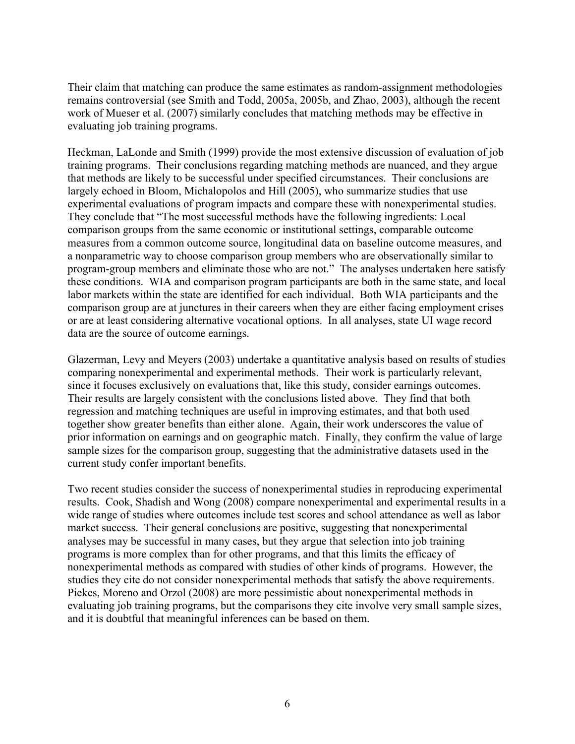Their claim that matching can produce the same estimates as random-assignment methodologies remains controversial (see Smith and Todd, 2005a, 2005b, and Zhao, 2003), although the recent work of Mueser et al. (2007) similarly concludes that matching methods may be effective in evaluating job training programs.

Heckman, LaLonde and Smith (1999) provide the most extensive discussion of evaluation of job training programs. Their conclusions regarding matching methods are nuanced, and they argue that methods are likely to be successful under specified circumstances. Their conclusions are largely echoed in Bloom, Michalopolos and Hill (2005), who summarize studies that use experimental evaluations of program impacts and compare these with nonexperimental studies. They conclude that "The most successful methods have the following ingredients: Local comparison groups from the same economic or institutional settings, comparable outcome measures from a common outcome source, longitudinal data on baseline outcome measures, and a nonparametric way to choose comparison group members who are observationally similar to program-group members and eliminate those who are not." The analyses undertaken here satisfy these conditions. WIA and comparison program participants are both in the same state, and local labor markets within the state are identified for each individual. Both WIA participants and the comparison group are at junctures in their careers when they are either facing employment crises or are at least considering alternative vocational options. In all analyses, state UI wage record data are the source of outcome earnings.

Glazerman, Levy and Meyers (2003) undertake a quantitative analysis based on results of studies comparing nonexperimental and experimental methods. Their work is particularly relevant, since it focuses exclusively on evaluations that, like this study, consider earnings outcomes. Their results are largely consistent with the conclusions listed above. They find that both regression and matching techniques are useful in improving estimates, and that both used together show greater benefits than either alone. Again, their work underscores the value of prior information on earnings and on geographic match. Finally, they confirm the value of large sample sizes for the comparison group, suggesting that the administrative datasets used in the current study confer important benefits.

Two recent studies consider the success of nonexperimental studies in reproducing experimental results. Cook, Shadish and Wong (2008) compare nonexperimental and experimental results in a wide range of studies where outcomes include test scores and school attendance as well as labor market success. Their general conclusions are positive, suggesting that nonexperimental analyses may be successful in many cases, but they argue that selection into job training programs is more complex than for other programs, and that this limits the efficacy of nonexperimental methods as compared with studies of other kinds of programs. However, the studies they cite do not consider nonexperimental methods that satisfy the above requirements. Piekes, Moreno and Orzol (2008) are more pessimistic about nonexperimental methods in evaluating job training programs, but the comparisons they cite involve very small sample sizes, and it is doubtful that meaningful inferences can be based on them.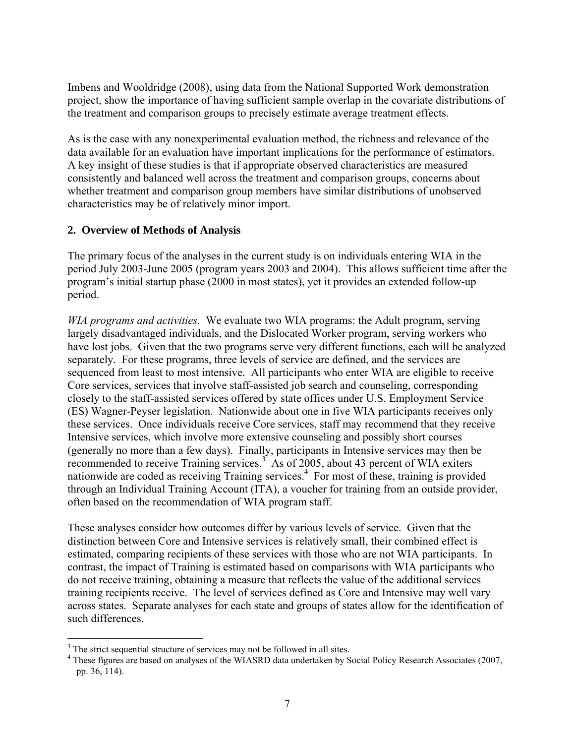Imbens and Wooldridge (2008), using data from the National Supported Work demonstration project, show the importance of having sufficient sample overlap in the covariate distributions of the treatment and comparison groups to precisely estimate average treatment effects.

As is the case with any nonexperimental evaluation method, the richness and relevance of the data available for an evaluation have important implications for the performance of estimators. A key insight of these studies is that if appropriate observed characteristics are measured consistently and balanced well across the treatment and comparison groups, concerns about whether treatment and comparison group members have similar distributions of unobserved characteristics may be of relatively minor import.

### **2. Overview of Methods of Analysis**

The primary focus of the analyses in the current study is on individuals entering WIA in the period July 2003-June 2005 (program years 2003 and 2004). This allows sufficient time after the program's initial startup phase (2000 in most states), yet it provides an extended follow-up period.

*WIA programs and activities.*We evaluate two WIA programs: the Adult program, serving largely disadvantaged individuals, and the Dislocated Worker program, serving workers who have lost jobs. Given that the two programs serve very different functions, each will be analyzed separately. For these programs, three levels of service are defined, and the services are sequenced from least to most intensive. All participants who enter WIA are eligible to receive Core services, services that involve staff-assisted job search and counseling, corresponding closely to the staff-assisted services offered by state offices under U.S. Employment Service (ES) Wagner-Peyser legislation. Nationwide about one in five WIA participants receives only these services. Once individuals receive Core services, staff may recommend that they receive Intensive services, which involve more extensive counseling and possibly short courses (generally no more than a few days). Finally, participants in Intensive services may then be recommended to receive Training services.<sup>3</sup> As of 2005, about 43 percent of WIA exiters nationwide are coded as receiving Training services.<sup>4</sup> For most of these, training is provided through an Individual Training Account (ITA), a voucher for training from an outside provider, often based on the recommendation of WIA program staff.

These analyses consider how outcomes differ by various levels of service. Given that the distinction between Core and Intensive services is relatively small, their combined effect is estimated, comparing recipients of these services with those who are not WIA participants. In contrast, the impact of Training is estimated based on comparisons with WIA participants who do not receive training, obtaining a measure that reflects the value of the additional services training recipients receive. The level of services defined as Core and Intensive may well vary across states. Separate analyses for each state and groups of states allow for the identification of such differences.

1

 $3$  The strict sequential structure of services may not be followed in all sites.

<sup>&</sup>lt;sup>4</sup> These figures are based on analyses of the WIASRD data undertaken by Social Policy Research Associates (2007, pp. 36, 114).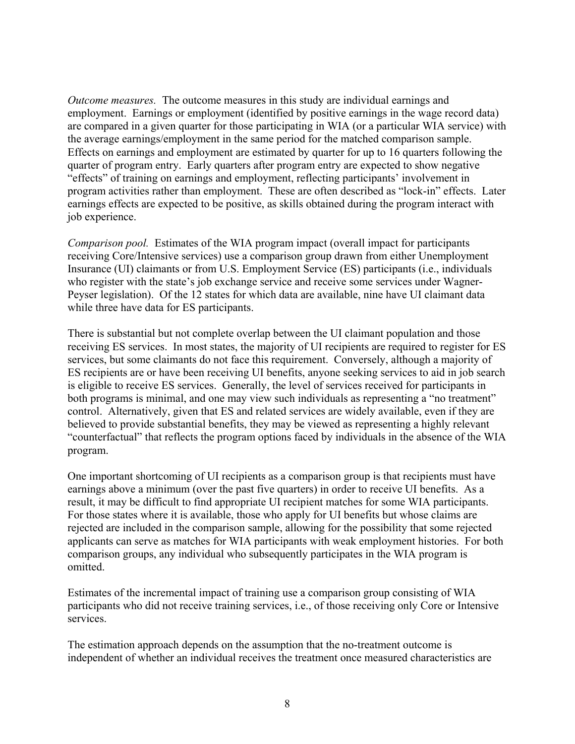*Outcome measures.*The outcome measures in this study are individual earnings and employment. Earnings or employment (identified by positive earnings in the wage record data) are compared in a given quarter for those participating in WIA (or a particular WIA service) with the average earnings/employment in the same period for the matched comparison sample. Effects on earnings and employment are estimated by quarter for up to 16 quarters following the quarter of program entry. Early quarters after program entry are expected to show negative "effects" of training on earnings and employment, reflecting participants' involvement in program activities rather than employment. These are often described as "lock-in" effects. Later earnings effects are expected to be positive, as skills obtained during the program interact with job experience.

*Comparison pool.* Estimates of the WIA program impact (overall impact for participants receiving Core/Intensive services) use a comparison group drawn from either Unemployment Insurance (UI) claimants or from U.S. Employment Service (ES) participants (i.e., individuals who register with the state's job exchange service and receive some services under Wagner-Peyser legislation). Of the 12 states for which data are available, nine have UI claimant data while three have data for ES participants.

There is substantial but not complete overlap between the UI claimant population and those receiving ES services. In most states, the majority of UI recipients are required to register for ES services, but some claimants do not face this requirement. Conversely, although a majority of ES recipients are or have been receiving UI benefits, anyone seeking services to aid in job search is eligible to receive ES services. Generally, the level of services received for participants in both programs is minimal, and one may view such individuals as representing a "no treatment" control. Alternatively, given that ES and related services are widely available, even if they are believed to provide substantial benefits, they may be viewed as representing a highly relevant "counterfactual" that reflects the program options faced by individuals in the absence of the WIA program.

One important shortcoming of UI recipients as a comparison group is that recipients must have earnings above a minimum (over the past five quarters) in order to receive UI benefits. As a result, it may be difficult to find appropriate UI recipient matches for some WIA participants. For those states where it is available, those who apply for UI benefits but whose claims are rejected are included in the comparison sample, allowing for the possibility that some rejected applicants can serve as matches for WIA participants with weak employment histories. For both comparison groups, any individual who subsequently participates in the WIA program is omitted.

Estimates of the incremental impact of training use a comparison group consisting of WIA participants who did not receive training services, i.e., of those receiving only Core or Intensive services.

The estimation approach depends on the assumption that the no-treatment outcome is independent of whether an individual receives the treatment once measured characteristics are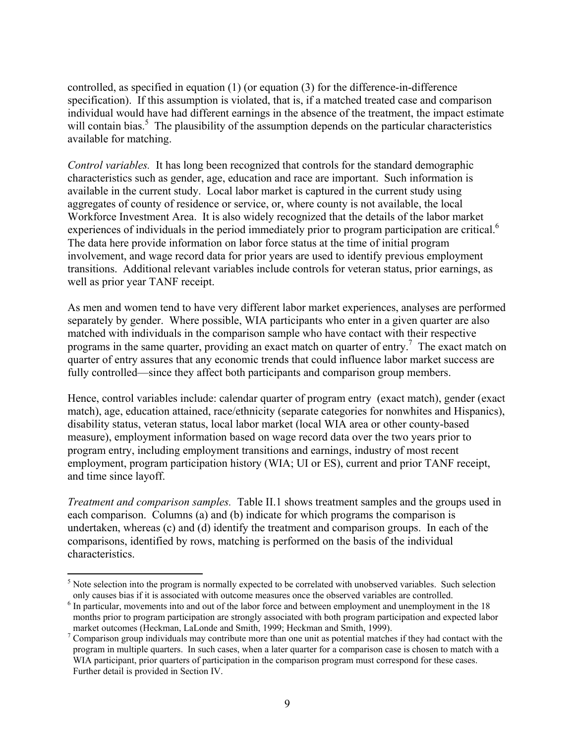controlled, as specified in equation (1) (or equation (3) for the difference-in-difference specification). If this assumption is violated, that is, if a matched treated case and comparison individual would have had different earnings in the absence of the treatment, the impact estimate will contain bias.<sup>5</sup> The plausibility of the assumption depends on the particular characteristics available for matching.

*Control variables.* It has long been recognized that controls for the standard demographic characteristics such as gender, age, education and race are important. Such information is available in the current study. Local labor market is captured in the current study using aggregates of county of residence or service, or, where county is not available, the local Workforce Investment Area. It is also widely recognized that the details of the labor market experiences of individuals in the period immediately prior to program participation are critical.<sup>6</sup> The data here provide information on labor force status at the time of initial program involvement, and wage record data for prior years are used to identify previous employment transitions. Additional relevant variables include controls for veteran status, prior earnings, as well as prior year TANF receipt.

As men and women tend to have very different labor market experiences, analyses are performed separately by gender. Where possible, WIA participants who enter in a given quarter are also matched with individuals in the comparison sample who have contact with their respective programs in the same quarter, providing an exact match on quarter of entry.<sup>7</sup> The exact match on quarter of entry assures that any economic trends that could influence labor market success are fully controlled—since they affect both participants and comparison group members.

Hence, control variables include: calendar quarter of program entry (exact match), gender (exact match), age, education attained, race/ethnicity (separate categories for nonwhites and Hispanics), disability status, veteran status, local labor market (local WIA area or other county-based measure), employment information based on wage record data over the two years prior to program entry, including employment transitions and earnings, industry of most recent employment, program participation history (WIA; UI or ES), current and prior TANF receipt, and time since layoff.

*Treatment and comparison samples.* Table II.1 shows treatment samples and the groups used in each comparison. Columns (a) and (b) indicate for which programs the comparison is undertaken, whereas (c) and (d) identify the treatment and comparison groups. In each of the comparisons, identified by rows, matching is performed on the basis of the individual characteristics.

1

<sup>&</sup>lt;sup>5</sup> Note selection into the program is normally expected to be correlated with unobserved variables. Such selection only causes bias if it is associated with outcome measures once the observed variables are controlled. 6

 $6$  In particular, movements into and out of the labor force and between employment and unemployment in the 18 months prior to program participation are strongly associated with both program participation and expected labor market outcomes (Heckman, LaLonde and Smith, 1999; Heckman and Smith, 1999).

<sup>&</sup>lt;sup>7</sup> Comparison group individuals may contribute more than one unit as potential matches if they had contact with the program in multiple quarters. In such cases, when a later quarter for a comparison case is chosen to match with a WIA participant, prior quarters of participation in the comparison program must correspond for these cases. Further detail is provided in Section IV.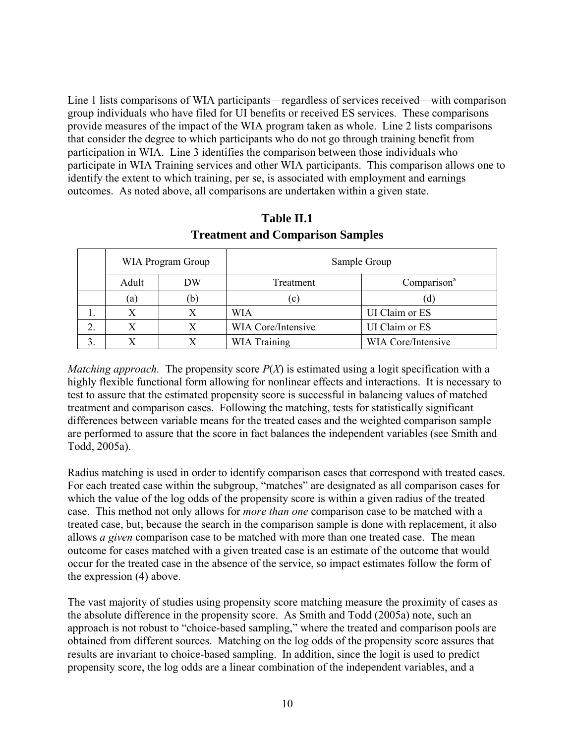Line 1 lists comparisons of WIA participants—regardless of services received—with comparison group individuals who have filed for UI benefits or received ES services. These comparisons provide measures of the impact of the WIA program taken as whole. Line 2 lists comparisons that consider the degree to which participants who do not go through training benefit from participation in WIA. Line 3 identifies the comparison between those individuals who participate in WIA Training services and other WIA participants. This comparison allows one to identify the extent to which training, per se, is associated with employment and earnings outcomes. As noted above, all comparisons are undertaken within a given state.

|    | WIA Program Group |     | Sample Group       |                         |  |  |
|----|-------------------|-----|--------------------|-------------------------|--|--|
|    | Adult             | DW  | Treatment          | Comparison <sup>a</sup> |  |  |
|    | (a)               | (b) | (c)                | (d)                     |  |  |
|    |                   |     | <b>WIA</b>         | UI Claim or ES          |  |  |
| ۷. |                   |     | WIA Core/Intensive | UI Claim or ES          |  |  |
|    |                   |     | WIA Training       | WIA Core/Intensive      |  |  |

**Table II.1 Treatment and Comparison Samples**

*Matching approach.* The propensity score  $P(X)$  is estimated using a logit specification with a highly flexible functional form allowing for nonlinear effects and interactions. It is necessary to test to assure that the estimated propensity score is successful in balancing values of matched treatment and comparison cases. Following the matching, tests for statistically significant differences between variable means for the treated cases and the weighted comparison sample are performed to assure that the score in fact balances the independent variables (see Smith and Todd, 2005a).

Radius matching is used in order to identify comparison cases that correspond with treated cases. For each treated case within the subgroup, "matches" are designated as all comparison cases for which the value of the log odds of the propensity score is within a given radius of the treated case. This method not only allows for *more than one* comparison case to be matched with a treated case, but, because the search in the comparison sample is done with replacement, it also allows *a given* comparison case to be matched with more than one treated case. The mean outcome for cases matched with a given treated case is an estimate of the outcome that would occur for the treated case in the absence of the service, so impact estimates follow the form of the expression (4) above.

The vast majority of studies using propensity score matching measure the proximity of cases as the absolute difference in the propensity score. As Smith and Todd (2005a) note, such an approach is not robust to "choice-based sampling," where the treated and comparison pools are obtained from different sources. Matching on the log odds of the propensity score assures that results are invariant to choice-based sampling. In addition, since the logit is used to predict propensity score, the log odds are a linear combination of the independent variables, and a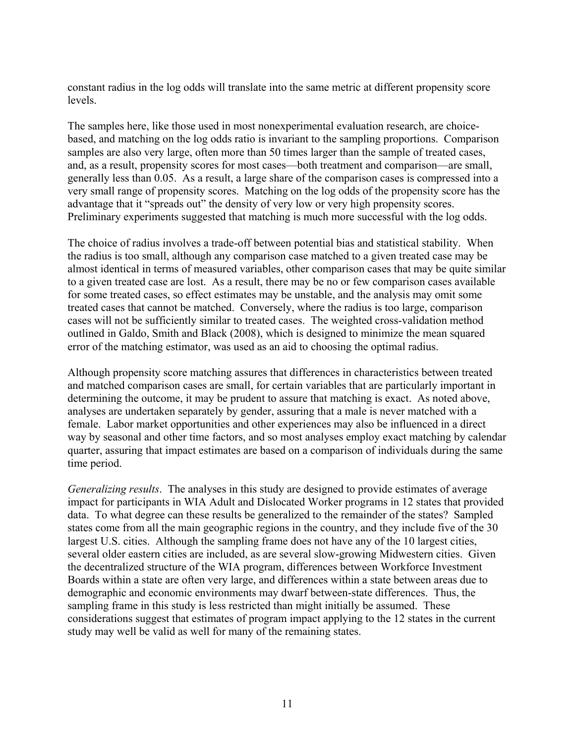constant radius in the log odds will translate into the same metric at different propensity score levels.

The samples here, like those used in most nonexperimental evaluation research, are choicebased, and matching on the log odds ratio is invariant to the sampling proportions. Comparison samples are also very large, often more than 50 times larger than the sample of treated cases, and, as a result, propensity scores for most cases—both treatment and comparison—are small, generally less than 0.05. As a result, a large share of the comparison cases is compressed into a very small range of propensity scores. Matching on the log odds of the propensity score has the advantage that it "spreads out" the density of very low or very high propensity scores. Preliminary experiments suggested that matching is much more successful with the log odds.

The choice of radius involves a trade-off between potential bias and statistical stability. When the radius is too small, although any comparison case matched to a given treated case may be almost identical in terms of measured variables, other comparison cases that may be quite similar to a given treated case are lost. As a result, there may be no or few comparison cases available for some treated cases, so effect estimates may be unstable, and the analysis may omit some treated cases that cannot be matched. Conversely, where the radius is too large, comparison cases will not be sufficiently similar to treated cases. The weighted cross-validation method outlined in Galdo, Smith and Black (2008), which is designed to minimize the mean squared error of the matching estimator, was used as an aid to choosing the optimal radius.

Although propensity score matching assures that differences in characteristics between treated and matched comparison cases are small, for certain variables that are particularly important in determining the outcome, it may be prudent to assure that matching is exact. As noted above, analyses are undertaken separately by gender, assuring that a male is never matched with a female. Labor market opportunities and other experiences may also be influenced in a direct way by seasonal and other time factors, and so most analyses employ exact matching by calendar quarter, assuring that impact estimates are based on a comparison of individuals during the same time period.

*Generalizing results*. The analyses in this study are designed to provide estimates of average impact for participants in WIA Adult and Dislocated Worker programs in 12 states that provided data. To what degree can these results be generalized to the remainder of the states? Sampled states come from all the main geographic regions in the country, and they include five of the 30 largest U.S. cities. Although the sampling frame does not have any of the 10 largest cities, several older eastern cities are included, as are several slow-growing Midwestern cities. Given the decentralized structure of the WIA program, differences between Workforce Investment Boards within a state are often very large, and differences within a state between areas due to demographic and economic environments may dwarf between-state differences. Thus, the sampling frame in this study is less restricted than might initially be assumed. These considerations suggest that estimates of program impact applying to the 12 states in the current study may well be valid as well for many of the remaining states.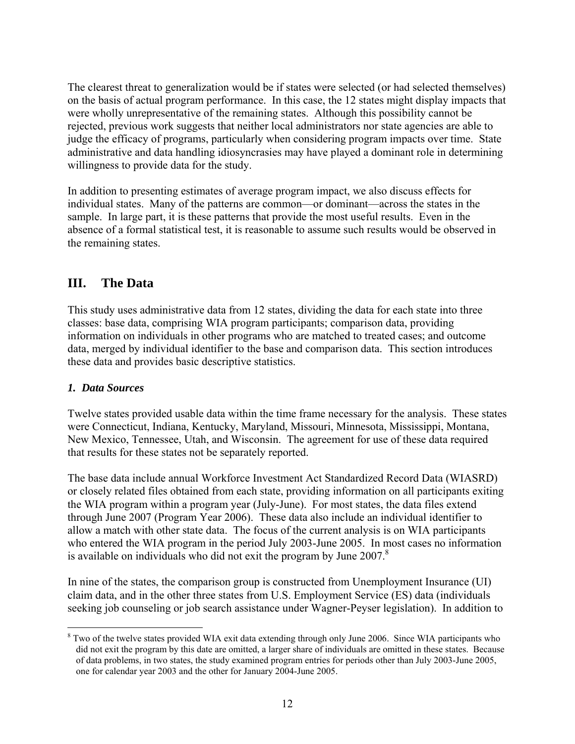The clearest threat to generalization would be if states were selected (or had selected themselves) on the basis of actual program performance. In this case, the 12 states might display impacts that were wholly unrepresentative of the remaining states. Although this possibility cannot be rejected, previous work suggests that neither local administrators nor state agencies are able to judge the efficacy of programs, particularly when considering program impacts over time. State administrative and data handling idiosyncrasies may have played a dominant role in determining willingness to provide data for the study.

In addition to presenting estimates of average program impact, we also discuss effects for individual states. Many of the patterns are common—or dominant—across the states in the sample. In large part, it is these patterns that provide the most useful results. Even in the absence of a formal statistical test, it is reasonable to assume such results would be observed in the remaining states.

# **III. The Data**

This study uses administrative data from 12 states, dividing the data for each state into three classes: base data, comprising WIA program participants; comparison data, providing information on individuals in other programs who are matched to treated cases; and outcome data, merged by individual identifier to the base and comparison data. This section introduces these data and provides basic descriptive statistics.

## *1. Data Sources*

 $\overline{a}$ 

Twelve states provided usable data within the time frame necessary for the analysis. These states were Connecticut, Indiana, Kentucky, Maryland, Missouri, Minnesota, Mississippi, Montana, New Mexico, Tennessee, Utah, and Wisconsin. The agreement for use of these data required that results for these states not be separately reported.

The base data include annual Workforce Investment Act Standardized Record Data (WIASRD) or closely related files obtained from each state, providing information on all participants exiting the WIA program within a program year (July-June). For most states, the data files extend through June 2007 (Program Year 2006). These data also include an individual identifier to allow a match with other state data. The focus of the current analysis is on WIA participants who entered the WIA program in the period July 2003-June 2005. In most cases no information is available on individuals who did not exit the program by June  $2007$ .<sup>8</sup>

In nine of the states, the comparison group is constructed from Unemployment Insurance (UI) claim data, and in the other three states from U.S. Employment Service (ES) data (individuals seeking job counseling or job search assistance under Wagner-Peyser legislation). In addition to

<sup>&</sup>lt;sup>8</sup> Two of the twelve states provided WIA exit data extending through only June 2006. Since WIA participants who did not exit the program by this date are omitted, a larger share of individuals are omitted in these states. Because of data problems, in two states, the study examined program entries for periods other than July 2003-June 2005, one for calendar year 2003 and the other for January 2004-June 2005.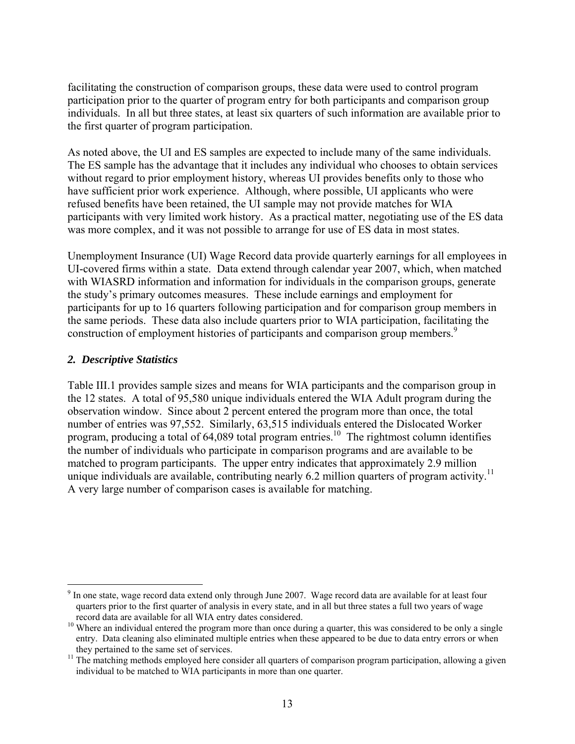facilitating the construction of comparison groups, these data were used to control program participation prior to the quarter of program entry for both participants and comparison group individuals. In all but three states, at least six quarters of such information are available prior to the first quarter of program participation.

As noted above, the UI and ES samples are expected to include many of the same individuals. The ES sample has the advantage that it includes any individual who chooses to obtain services without regard to prior employment history, whereas UI provides benefits only to those who have sufficient prior work experience. Although, where possible, UI applicants who were refused benefits have been retained, the UI sample may not provide matches for WIA participants with very limited work history. As a practical matter, negotiating use of the ES data was more complex, and it was not possible to arrange for use of ES data in most states.

Unemployment Insurance (UI) Wage Record data provide quarterly earnings for all employees in UI-covered firms within a state. Data extend through calendar year 2007, which, when matched with WIASRD information and information for individuals in the comparison groups, generate the study's primary outcomes measures. These include earnings and employment for participants for up to 16 quarters following participation and for comparison group members in the same periods. These data also include quarters prior to WIA participation, facilitating the construction of employment histories of participants and comparison group members.<sup>9</sup>

#### *2. Descriptive Statistics*

 $\overline{a}$ 

Table III.1 provides sample sizes and means for WIA participants and the comparison group in the 12 states. A total of 95,580 unique individuals entered the WIA Adult program during the observation window. Since about 2 percent entered the program more than once, the total number of entries was 97,552. Similarly, 63,515 individuals entered the Dislocated Worker program, producing a total of  $64,089$  total program entries.<sup>10</sup> The rightmost column identifies the number of individuals who participate in comparison programs and are available to be matched to program participants. The upper entry indicates that approximately 2.9 million unique individuals are available, contributing nearly 6.2 million quarters of program activity.<sup>11</sup> A very large number of comparison cases is available for matching.

 $9<sup>9</sup>$  In one state, wage record data extend only through June 2007. Wage record data are available for at least four quarters prior to the first quarter of analysis in every state, and in all but three states a full two years of wage record data are available for all WIA entry dates considered.

 $10$  Where an individual entered the program more than once during a quarter, this was considered to be only a single entry. Data cleaning also eliminated multiple entries when these appeared to be due to data entry errors or when

they pertained to the same set of services.<br><sup>11</sup> The matching methods employed here consider all quarters of comparison program participation, allowing a given individual to be matched to WIA participants in more than one quarter.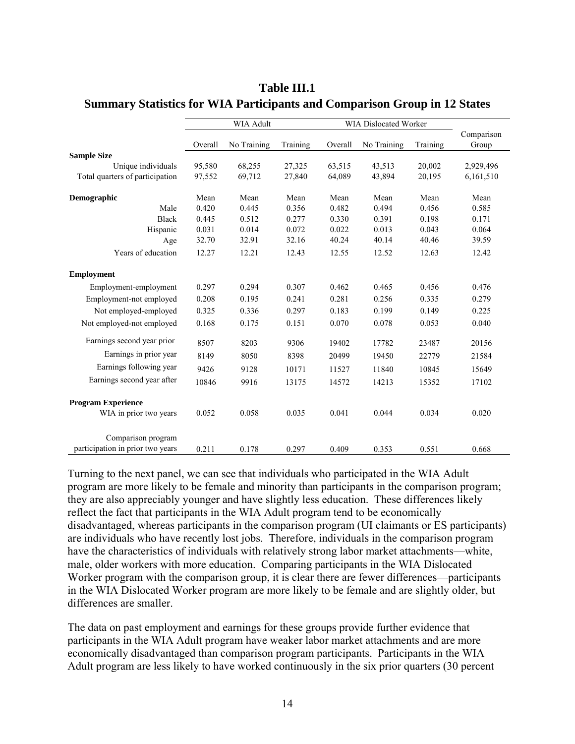|                                  | <b>WIA Adult</b> |             |          | WIA Dislocated Worker |             |          |            |
|----------------------------------|------------------|-------------|----------|-----------------------|-------------|----------|------------|
|                                  |                  |             |          |                       |             |          | Comparison |
|                                  | Overall          | No Training | Training | Overall               | No Training | Training | Group      |
| <b>Sample Size</b>               |                  |             |          |                       |             |          |            |
| Unique individuals               | 95,580           | 68,255      | 27,325   | 63,515                | 43,513      | 20,002   | 2,929,496  |
| Total quarters of participation  | 97,552           | 69,712      | 27,840   | 64,089                | 43,894      | 20,195   | 6,161,510  |
| Demographic                      | Mean             | Mean        | Mean     | Mean                  | Mean        | Mean     | Mean       |
| Male                             | 0.420            | 0.445       | 0.356    | 0.482                 | 0.494       | 0.456    | 0.585      |
| <b>Black</b>                     | 0.445            | 0.512       | 0.277    | 0.330                 | 0.391       | 0.198    | 0.171      |
| Hispanic                         | 0.031            | 0.014       | 0.072    | 0.022                 | 0.013       | 0.043    | 0.064      |
| Age                              | 32.70            | 32.91       | 32.16    | 40.24                 | 40.14       | 40.46    | 39.59      |
| Years of education               | 12.27            | 12.21       | 12.43    | 12.55                 | 12.52       | 12.63    | 12.42      |
| <b>Employment</b>                |                  |             |          |                       |             |          |            |
| Employment-employment            | 0.297            | 0.294       | 0.307    | 0.462                 | 0.465       | 0.456    | 0.476      |
| Employment-not employed          | 0.208            | 0.195       | 0.241    | 0.281                 | 0.256       | 0.335    | 0.279      |
| Not employed-employed            | 0.325            | 0.336       | 0.297    | 0.183                 | 0.199       | 0.149    | 0.225      |
| Not employed-not employed        | 0.168            | 0.175       | 0.151    | 0.070                 | 0.078       | 0.053    | 0.040      |
| Earnings second year prior       | 8507             | 8203        | 9306     | 19402                 | 17782       | 23487    | 20156      |
| Earnings in prior year           | 8149             | 8050        | 8398     | 20499                 | 19450       | 22779    | 21584      |
| Earnings following year          | 9426             | 9128        | 10171    | 11527                 | 11840       | 10845    | 15649      |
| Earnings second year after       | 10846            | 9916        | 13175    | 14572                 | 14213       | 15352    | 17102      |
| <b>Program Experience</b>        |                  |             |          |                       |             |          |            |
| WIA in prior two years           | 0.052            | 0.058       | 0.035    | 0.041                 | 0.044       | 0.034    | 0.020      |
| Comparison program               |                  |             |          |                       |             |          |            |
| participation in prior two years | 0.211            | 0.178       | 0.297    | 0.409                 | 0.353       | 0.551    | 0.668      |

**Table III.1 Summary Statistics for WIA Participants and Comparison Group in 12 States**

Turning to the next panel, we can see that individuals who participated in the WIA Adult program are more likely to be female and minority than participants in the comparison program; they are also appreciably younger and have slightly less education. These differences likely reflect the fact that participants in the WIA Adult program tend to be economically disadvantaged, whereas participants in the comparison program (UI claimants or ES participants) are individuals who have recently lost jobs. Therefore, individuals in the comparison program have the characteristics of individuals with relatively strong labor market attachments—white, male, older workers with more education. Comparing participants in the WIA Dislocated Worker program with the comparison group, it is clear there are fewer differences—participants in the WIA Dislocated Worker program are more likely to be female and are slightly older, but differences are smaller.

The data on past employment and earnings for these groups provide further evidence that participants in the WIA Adult program have weaker labor market attachments and are more economically disadvantaged than comparison program participants. Participants in the WIA Adult program are less likely to have worked continuously in the six prior quarters (30 percent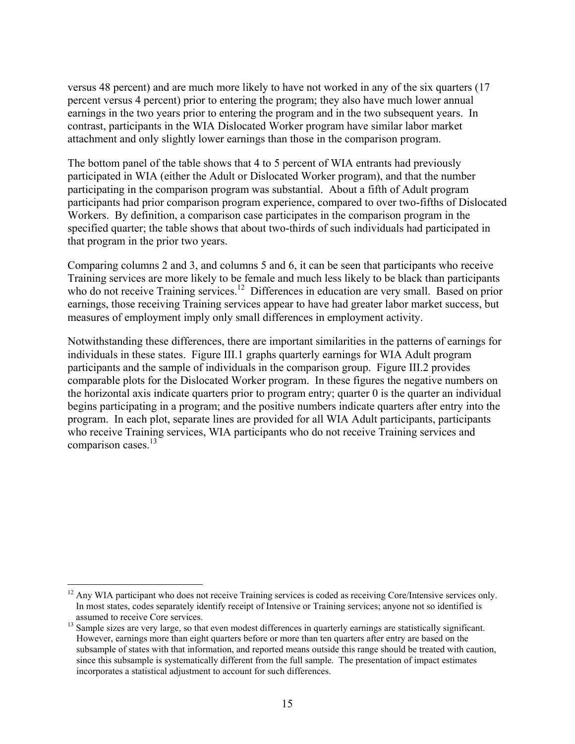versus 48 percent) and are much more likely to have not worked in any of the six quarters (17 percent versus 4 percent) prior to entering the program; they also have much lower annual earnings in the two years prior to entering the program and in the two subsequent years. In contrast, participants in the WIA Dislocated Worker program have similar labor market attachment and only slightly lower earnings than those in the comparison program.

The bottom panel of the table shows that 4 to 5 percent of WIA entrants had previously participated in WIA (either the Adult or Dislocated Worker program), and that the number participating in the comparison program was substantial. About a fifth of Adult program participants had prior comparison program experience, compared to over two-fifths of Dislocated Workers. By definition, a comparison case participates in the comparison program in the specified quarter; the table shows that about two-thirds of such individuals had participated in that program in the prior two years.

Comparing columns 2 and 3, and columns 5 and 6, it can be seen that participants who receive Training services are more likely to be female and much less likely to be black than participants who do not receive Training services.<sup>12</sup> Differences in education are very small. Based on prior earnings, those receiving Training services appear to have had greater labor market success, but measures of employment imply only small differences in employment activity.

Notwithstanding these differences, there are important similarities in the patterns of earnings for individuals in these states. Figure III.1 graphs quarterly earnings for WIA Adult program participants and the sample of individuals in the comparison group. Figure III.2 provides comparable plots for the Dislocated Worker program. In these figures the negative numbers on the horizontal axis indicate quarters prior to program entry; quarter 0 is the quarter an individual begins participating in a program; and the positive numbers indicate quarters after entry into the program. In each plot, separate lines are provided for all WIA Adult participants, participants who receive Training services, WIA participants who do not receive Training services and comparison cases.<sup>13</sup>

1

<sup>&</sup>lt;sup>12</sup> Any WIA participant who does not receive Training services is coded as receiving Core/Intensive services only. In most states, codes separately identify receipt of Intensive or Training services; anyone not so identified is

 $13$  Sample sizes are very large, so that even modest differences in quarterly earnings are statistically significant. However, earnings more than eight quarters before or more than ten quarters after entry are based on the subsample of states with that information, and reported means outside this range should be treated with caution, since this subsample is systematically different from the full sample. The presentation of impact estimates incorporates a statistical adjustment to account for such differences.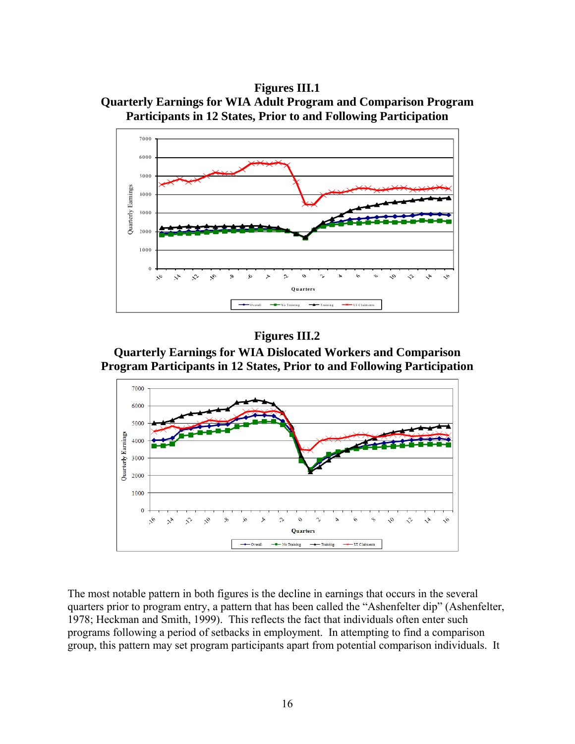**Figures III.1 Quarterly Earnings for WIA Adult Program and Comparison Program Participants in 12 States, Prior to and Following Participation** 



## **Figures III.2**

**Quarterly Earnings for WIA Dislocated Workers and Comparison Program Participants in 12 States, Prior to and Following Participation** 



The most notable pattern in both figures is the decline in earnings that occurs in the several quarters prior to program entry, a pattern that has been called the "Ashenfelter dip" (Ashenfelter, 1978; Heckman and Smith, 1999). This reflects the fact that individuals often enter such programs following a period of setbacks in employment. In attempting to find a comparison group, this pattern may set program participants apart from potential comparison individuals. It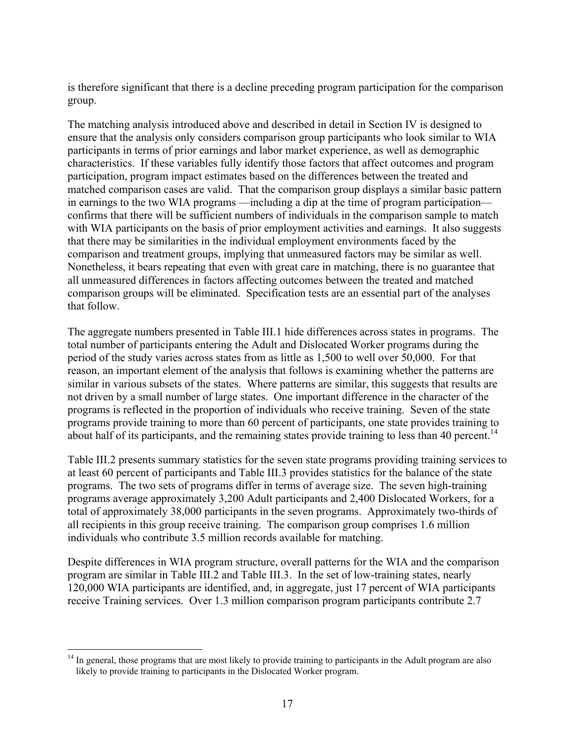is therefore significant that there is a decline preceding program participation for the comparison group.

The matching analysis introduced above and described in detail in Section IV is designed to ensure that the analysis only considers comparison group participants who look similar to WIA participants in terms of prior earnings and labor market experience, as well as demographic characteristics. If these variables fully identify those factors that affect outcomes and program participation, program impact estimates based on the differences between the treated and matched comparison cases are valid. That the comparison group displays a similar basic pattern in earnings to the two WIA programs —including a dip at the time of program participation confirms that there will be sufficient numbers of individuals in the comparison sample to match with WIA participants on the basis of prior employment activities and earnings. It also suggests that there may be similarities in the individual employment environments faced by the comparison and treatment groups, implying that unmeasured factors may be similar as well. Nonetheless, it bears repeating that even with great care in matching, there is no guarantee that all unmeasured differences in factors affecting outcomes between the treated and matched comparison groups will be eliminated. Specification tests are an essential part of the analyses that follow.

The aggregate numbers presented in Table III.1 hide differences across states in programs. The total number of participants entering the Adult and Dislocated Worker programs during the period of the study varies across states from as little as 1,500 to well over 50,000. For that reason, an important element of the analysis that follows is examining whether the patterns are similar in various subsets of the states. Where patterns are similar, this suggests that results are not driven by a small number of large states. One important difference in the character of the programs is reflected in the proportion of individuals who receive training. Seven of the state programs provide training to more than 60 percent of participants, one state provides training to about half of its participants, and the remaining states provide training to less than 40 percent.<sup>14</sup>

Table III.2 presents summary statistics for the seven state programs providing training services to at least 60 percent of participants and Table III.3 provides statistics for the balance of the state programs. The two sets of programs differ in terms of average size. The seven high-training programs average approximately 3,200 Adult participants and 2,400 Dislocated Workers, for a total of approximately 38,000 participants in the seven programs. Approximately two-thirds of all recipients in this group receive training. The comparison group comprises 1.6 million individuals who contribute 3.5 million records available for matching.

Despite differences in WIA program structure, overall patterns for the WIA and the comparison program are similar in Table III.2 and Table III.3. In the set of low-training states, nearly 120,000 WIA participants are identified, and, in aggregate, just 17 percent of WIA participants receive Training services. Over 1.3 million comparison program participants contribute 2.7

 $\overline{a}$ 

<sup>&</sup>lt;sup>14</sup> In general, those programs that are most likely to provide training to participants in the Adult program are also likely to provide training to participants in the Dislocated Worker program.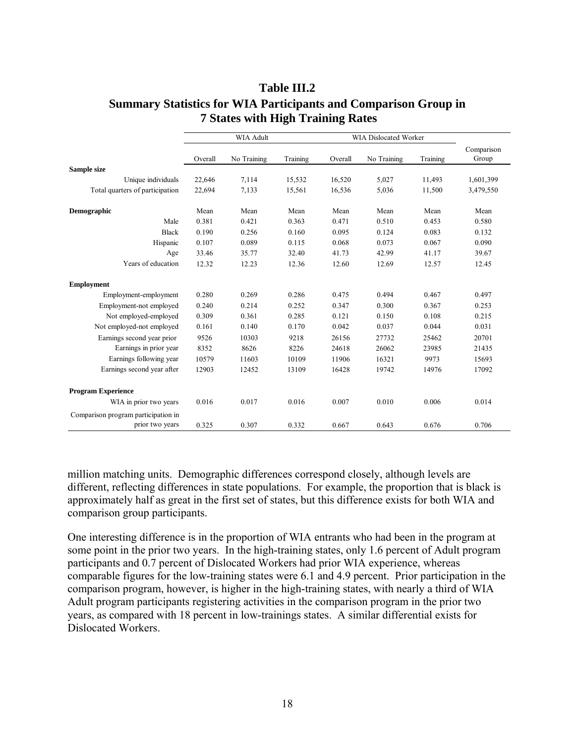|                                                        | WIA Adult |             |          | WIA Dislocated Worker |             |          |                     |
|--------------------------------------------------------|-----------|-------------|----------|-----------------------|-------------|----------|---------------------|
|                                                        | Overall   | No Training | Training | Overall               | No Training | Training | Comparison<br>Group |
| Sample size                                            |           |             |          |                       |             |          |                     |
| Unique individuals                                     | 22,646    | 7,114       | 15,532   | 16,520                | 5,027       | 11,493   | 1,601,399           |
| Total quarters of participation                        | 22,694    | 7,133       | 15,561   | 16,536                | 5,036       | 11,500   | 3,479,550           |
| Demographic                                            | Mean      | Mean        | Mean     | Mean                  | Mean        | Mean     | Mean                |
| Male                                                   | 0.381     | 0.421       | 0.363    | 0.471                 | 0.510       | 0.453    | 0.580               |
| <b>Black</b>                                           | 0.190     | 0.256       | 0.160    | 0.095                 | 0.124       | 0.083    | 0.132               |
| Hispanic                                               | 0.107     | 0.089       | 0.115    | 0.068                 | 0.073       | 0.067    | 0.090               |
| Age                                                    | 33.46     | 35.77       | 32.40    | 41.73                 | 42.99       | 41.17    | 39.67               |
| Years of education                                     | 12.32     | 12.23       | 12.36    | 12.60                 | 12.69       | 12.57    | 12.45               |
| <b>Employment</b>                                      |           |             |          |                       |             |          |                     |
| Employment-employment                                  | 0.280     | 0.269       | 0.286    | 0.475                 | 0.494       | 0.467    | 0.497               |
| Employment-not employed                                | 0.240     | 0.214       | 0.252    | 0.347                 | 0.300       | 0.367    | 0.253               |
| Not employed-employed                                  | 0.309     | 0.361       | 0.285    | 0.121                 | 0.150       | 0.108    | 0.215               |
| Not employed-not employed                              | 0.161     | 0.140       | 0.170    | 0.042                 | 0.037       | 0.044    | 0.031               |
| Earnings second year prior                             | 9526      | 10303       | 9218     | 26156                 | 27732       | 25462    | 20701               |
| Earnings in prior year                                 | 8352      | 8626        | 8226     | 24618                 | 26062       | 23985    | 21435               |
| Earnings following year                                | 10579     | 11603       | 10109    | 11906                 | 16321       | 9973     | 15693               |
| Earnings second year after                             | 12903     | 12452       | 13109    | 16428                 | 19742       | 14976    | 17092               |
| <b>Program Experience</b>                              |           |             |          |                       |             |          |                     |
| WIA in prior two years                                 | 0.016     | 0.017       | 0.016    | 0.007                 | 0.010       | 0.006    | 0.014               |
| Comparison program participation in<br>prior two years |           |             |          |                       |             |          |                     |
|                                                        | 0.325     | 0.307       | 0.332    | 0.667                 | 0.643       | 0.676    | 0.706               |

# **Table III.2 Summary Statistics for WIA Participants and Comparison Group in 7 States with High Training Rates**

million matching units. Demographic differences correspond closely, although levels are different, reflecting differences in state populations. For example, the proportion that is black is approximately half as great in the first set of states, but this difference exists for both WIA and comparison group participants.

One interesting difference is in the proportion of WIA entrants who had been in the program at some point in the prior two years. In the high-training states, only 1.6 percent of Adult program participants and 0.7 percent of Dislocated Workers had prior WIA experience, whereas comparable figures for the low-training states were 6.1 and 4.9 percent. Prior participation in the comparison program, however, is higher in the high-training states, with nearly a third of WIA Adult program participants registering activities in the comparison program in the prior two years, as compared with 18 percent in low-trainings states. A similar differential exists for Dislocated Workers.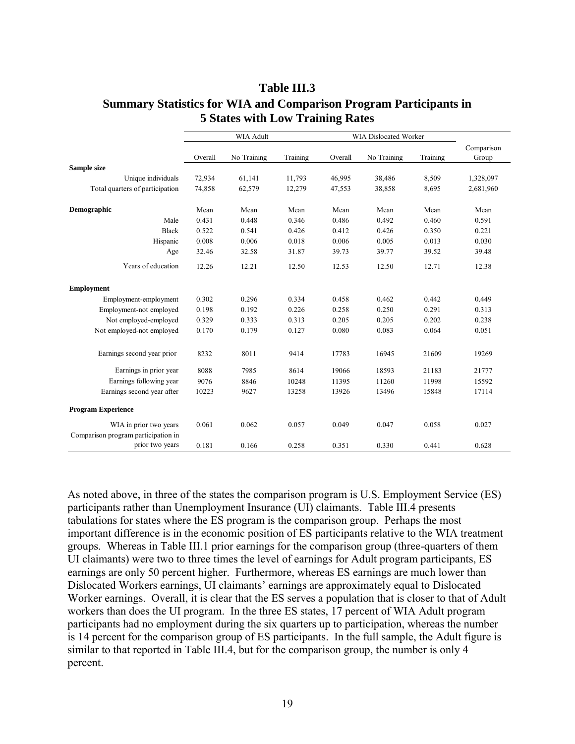|                                     | <b>WIA Adult</b> |             |          | <b>WIA Dislocated Worker</b> |             |          |                     |
|-------------------------------------|------------------|-------------|----------|------------------------------|-------------|----------|---------------------|
|                                     | Overall          | No Training | Training | Overall                      | No Training | Training | Comparison<br>Group |
| Sample size                         |                  |             |          |                              |             |          |                     |
| Unique individuals                  | 72,934           | 61,141      | 11,793   | 46,995                       | 38,486      | 8,509    | 1,328,097           |
| Total quarters of participation     | 74,858           | 62,579      | 12,279   | 47,553                       | 38,858      | 8,695    | 2,681,960           |
| Demographic                         | Mean             | Mean        | Mean     | Mean                         | Mean        | Mean     | Mean                |
| Male                                | 0.431            | 0.448       | 0.346    | 0.486                        | 0.492       | 0.460    | 0.591               |
| <b>Black</b>                        | 0.522            | 0.541       | 0.426    | 0.412                        | 0.426       | 0.350    | 0.221               |
| Hispanic                            | 0.008            | 0.006       | 0.018    | 0.006                        | 0.005       | 0.013    | 0.030               |
| Age                                 | 32.46            | 32.58       | 31.87    | 39.73                        | 39.77       | 39.52    | 39.48               |
| Years of education                  | 12.26            | 12.21       | 12.50    | 12.53                        | 12.50       | 12.71    | 12.38               |
| <b>Employment</b>                   |                  |             |          |                              |             |          |                     |
| Employment-employment               | 0.302            | 0.296       | 0.334    | 0.458                        | 0.462       | 0.442    | 0.449               |
| Employment-not employed             | 0.198            | 0.192       | 0.226    | 0.258                        | 0.250       | 0.291    | 0.313               |
| Not employed-employed               | 0.329            | 0.333       | 0.313    | 0.205                        | 0.205       | 0.202    | 0.238               |
| Not employed-not employed           | 0.170            | 0.179       | 0.127    | 0.080                        | 0.083       | 0.064    | 0.051               |
| Earnings second year prior          | 8232             | 8011        | 9414     | 17783                        | 16945       | 21609    | 19269               |
| Earnings in prior year              | 8088             | 7985        | 8614     | 19066                        | 18593       | 21183    | 21777               |
| Earnings following year             | 9076             | 8846        | 10248    | 11395                        | 11260       | 11998    | 15592               |
| Earnings second year after          | 10223            | 9627        | 13258    | 13926                        | 13496       | 15848    | 17114               |
| <b>Program Experience</b>           |                  |             |          |                              |             |          |                     |
| WIA in prior two years              | 0.061            | 0.062       | 0.057    | 0.049                        | 0.047       | 0.058    | 0.027               |
| Comparison program participation in |                  |             |          |                              |             |          |                     |
| prior two years                     | 0.181            | 0.166       | 0.258    | 0.351                        | 0.330       | 0.441    | 0.628               |

# **Table III.3 Summary Statistics for WIA and Comparison Program Participants in 5 States with Low Training Rates**

As noted above, in three of the states the comparison program is U.S. Employment Service (ES) participants rather than Unemployment Insurance (UI) claimants. Table III.4 presents tabulations for states where the ES program is the comparison group. Perhaps the most important difference is in the economic position of ES participants relative to the WIA treatment groups. Whereas in Table III.1 prior earnings for the comparison group (three-quarters of them UI claimants) were two to three times the level of earnings for Adult program participants, ES earnings are only 50 percent higher. Furthermore, whereas ES earnings are much lower than Dislocated Workers earnings, UI claimants' earnings are approximately equal to Dislocated Worker earnings. Overall, it is clear that the ES serves a population that is closer to that of Adult workers than does the UI program. In the three ES states, 17 percent of WIA Adult program participants had no employment during the six quarters up to participation, whereas the number is 14 percent for the comparison group of ES participants. In the full sample, the Adult figure is similar to that reported in Table III.4, but for the comparison group, the number is only 4 percent.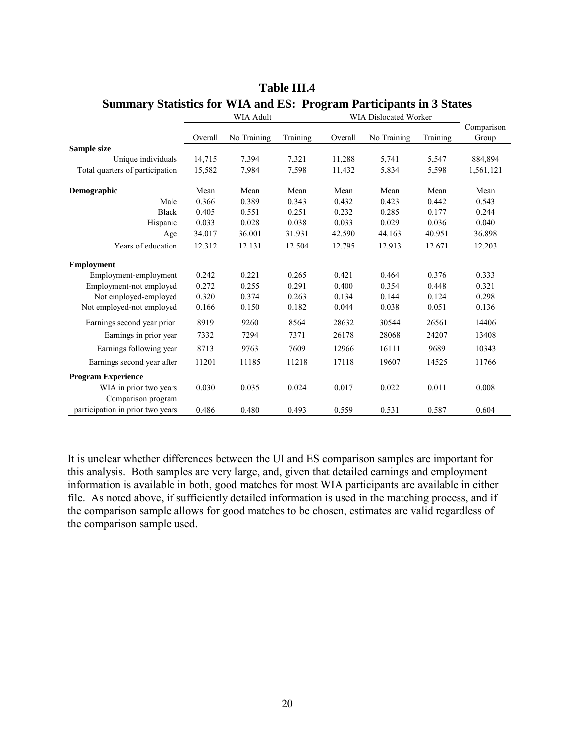|                                  | <b>WIA Adult</b> |             |          | <b>WIA Dislocated Worker</b> |             |          |            |
|----------------------------------|------------------|-------------|----------|------------------------------|-------------|----------|------------|
|                                  |                  |             |          |                              |             |          | Comparison |
|                                  | Overall          | No Training | Training | Overall                      | No Training | Training | Group      |
| Sample size                      |                  |             |          |                              |             |          |            |
| Unique individuals               | 14,715           | 7,394       | 7,321    | 11,288                       | 5,741       | 5,547    | 884,894    |
| Total quarters of participation  | 15,582           | 7,984       | 7,598    | 11,432                       | 5,834       | 5,598    | 1,561,121  |
| Demographic                      | Mean             | Mean        | Mean     | Mean                         | Mean        | Mean     | Mean       |
| Male                             | 0.366            | 0.389       | 0.343    | 0.432                        | 0.423       | 0.442    | 0.543      |
| <b>Black</b>                     | 0.405            | 0.551       | 0.251    | 0.232                        | 0.285       | 0.177    | 0.244      |
| Hispanic                         | 0.033            | 0.028       | 0.038    | 0.033                        | 0.029       | 0.036    | 0.040      |
| Age                              | 34.017           | 36.001      | 31.931   | 42.590                       | 44.163      | 40.951   | 36.898     |
| Years of education               | 12.312           | 12.131      | 12.504   | 12.795                       | 12.913      | 12.671   | 12.203     |
| <b>Employment</b>                |                  |             |          |                              |             |          |            |
| Employment-employment            | 0.242            | 0.221       | 0.265    | 0.421                        | 0.464       | 0.376    | 0.333      |
| Employment-not employed          | 0.272            | 0.255       | 0.291    | 0.400                        | 0.354       | 0.448    | 0.321      |
| Not employed-employed            | 0.320            | 0.374       | 0.263    | 0.134                        | 0.144       | 0.124    | 0.298      |
| Not employed-not employed        | 0.166            | 0.150       | 0.182    | 0.044                        | 0.038       | 0.051    | 0.136      |
| Earnings second year prior       | 8919             | 9260        | 8564     | 28632                        | 30544       | 26561    | 14406      |
| Earnings in prior year           | 7332             | 7294        | 7371     | 26178                        | 28068       | 24207    | 13408      |
| Earnings following year          | 8713             | 9763        | 7609     | 12966                        | 16111       | 9689     | 10343      |
| Earnings second year after       | 11201            | 11185       | 11218    | 17118                        | 19607       | 14525    | 11766      |
| <b>Program Experience</b>        |                  |             |          |                              |             |          |            |
| WIA in prior two years           | 0.030            | 0.035       | 0.024    | 0.017                        | 0.022       | 0.011    | 0.008      |
| Comparison program               |                  |             |          |                              |             |          |            |
| participation in prior two years | 0.486            | 0.480       | 0.493    | 0.559                        | 0.531       | 0.587    | 0.604      |

## **Table III.4 Summary Statistics for WIA and ES: Program Participants in 3 States**

It is unclear whether differences between the UI and ES comparison samples are important for this analysis. Both samples are very large, and, given that detailed earnings and employment information is available in both, good matches for most WIA participants are available in either file. As noted above, if sufficiently detailed information is used in the matching process, and if the comparison sample allows for good matches to be chosen, estimates are valid regardless of the comparison sample used.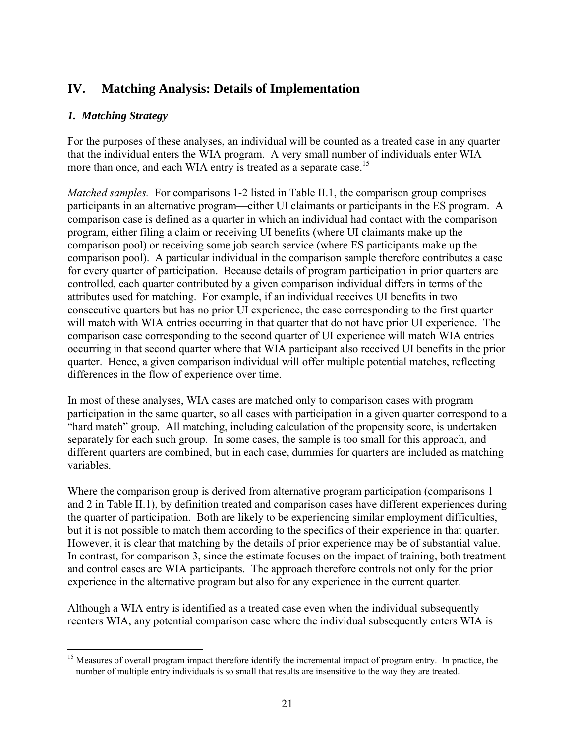# **IV. Matching Analysis: Details of Implementation**

### *1. Matching Strategy*

For the purposes of these analyses, an individual will be counted as a treated case in any quarter that the individual enters the WIA program. A very small number of individuals enter WIA more than once, and each WIA entry is treated as a separate case.<sup>15</sup>

*Matched samples.* For comparisons 1-2 listed in Table II.1, the comparison group comprises participants in an alternative program—either UI claimants or participants in the ES program. A comparison case is defined as a quarter in which an individual had contact with the comparison program, either filing a claim or receiving UI benefits (where UI claimants make up the comparison pool) or receiving some job search service (where ES participants make up the comparison pool). A particular individual in the comparison sample therefore contributes a case for every quarter of participation. Because details of program participation in prior quarters are controlled, each quarter contributed by a given comparison individual differs in terms of the attributes used for matching. For example, if an individual receives UI benefits in two consecutive quarters but has no prior UI experience, the case corresponding to the first quarter will match with WIA entries occurring in that quarter that do not have prior UI experience. The comparison case corresponding to the second quarter of UI experience will match WIA entries occurring in that second quarter where that WIA participant also received UI benefits in the prior quarter. Hence, a given comparison individual will offer multiple potential matches, reflecting differences in the flow of experience over time.

In most of these analyses, WIA cases are matched only to comparison cases with program participation in the same quarter, so all cases with participation in a given quarter correspond to a "hard match" group. All matching, including calculation of the propensity score, is undertaken separately for each such group. In some cases, the sample is too small for this approach, and different quarters are combined, but in each case, dummies for quarters are included as matching variables.

Where the comparison group is derived from alternative program participation (comparisons 1 and 2 in Table II.1), by definition treated and comparison cases have different experiences during the quarter of participation. Both are likely to be experiencing similar employment difficulties, but it is not possible to match them according to the specifics of their experience in that quarter. However, it is clear that matching by the details of prior experience may be of substantial value. In contrast, for comparison 3, since the estimate focuses on the impact of training, both treatment and control cases are WIA participants. The approach therefore controls not only for the prior experience in the alternative program but also for any experience in the current quarter.

Although a WIA entry is identified as a treated case even when the individual subsequently reenters WIA, any potential comparison case where the individual subsequently enters WIA is

 $\overline{a}$ <sup>15</sup> Measures of overall program impact therefore identify the incremental impact of program entry. In practice, the number of multiple entry individuals is so small that results are insensitive to the way they are treated.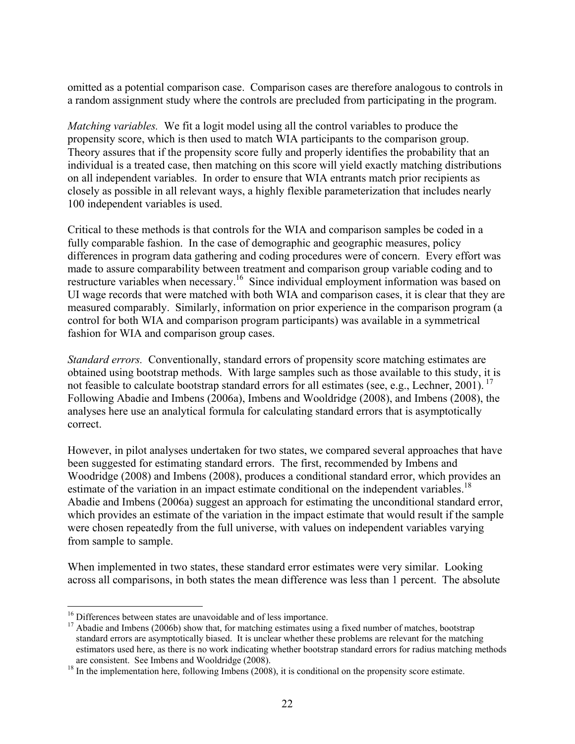omitted as a potential comparison case. Comparison cases are therefore analogous to controls in a random assignment study where the controls are precluded from participating in the program.

*Matching variables.* We fit a logit model using all the control variables to produce the propensity score, which is then used to match WIA participants to the comparison group. Theory assures that if the propensity score fully and properly identifies the probability that an individual is a treated case, then matching on this score will yield exactly matching distributions on all independent variables. In order to ensure that WIA entrants match prior recipients as closely as possible in all relevant ways, a highly flexible parameterization that includes nearly 100 independent variables is used.

Critical to these methods is that controls for the WIA and comparison samples be coded in a fully comparable fashion. In the case of demographic and geographic measures, policy differences in program data gathering and coding procedures were of concern. Every effort was made to assure comparability between treatment and comparison group variable coding and to restructure variables when necessary.16 Since individual employment information was based on UI wage records that were matched with both WIA and comparison cases, it is clear that they are measured comparably. Similarly, information on prior experience in the comparison program (a control for both WIA and comparison program participants) was available in a symmetrical fashion for WIA and comparison group cases.

*Standard errors.* Conventionally, standard errors of propensity score matching estimates are obtained using bootstrap methods. With large samples such as those available to this study, it is not feasible to calculate bootstrap standard errors for all estimates (see, e.g., Lechner, 2001). <sup>17</sup> Following Abadie and Imbens (2006a), Imbens and Wooldridge (2008), and Imbens (2008), the analyses here use an analytical formula for calculating standard errors that is asymptotically correct.

However, in pilot analyses undertaken for two states, we compared several approaches that have been suggested for estimating standard errors. The first, recommended by Imbens and Woodridge (2008) and Imbens (2008), produces a conditional standard error, which provides an estimate of the variation in an impact estimate conditional on the independent variables.<sup>18</sup> Abadie and Imbens (2006a) suggest an approach for estimating the unconditional standard error, which provides an estimate of the variation in the impact estimate that would result if the sample were chosen repeatedly from the full universe, with values on independent variables varying from sample to sample.

When implemented in two states, these standard error estimates were very similar. Looking across all comparisons, in both states the mean difference was less than 1 percent. The absolute

<sup>&</sup>lt;sup>16</sup> Differences between states are unavoidable and of less importance.

 $17$  Abadie and Imbens (2006b) show that, for matching estimates using a fixed number of matches, bootstrap standard errors are asymptotically biased. It is unclear whether these problems are relevant for the matching estimators used here, as there is no work indicating whether bootstrap standard errors for radius matching methods

are consistent. See Imbens and Wooldridge (2008).<br><sup>18</sup> In the implementation here, following Imbens (2008), it is conditional on the propensity score estimate.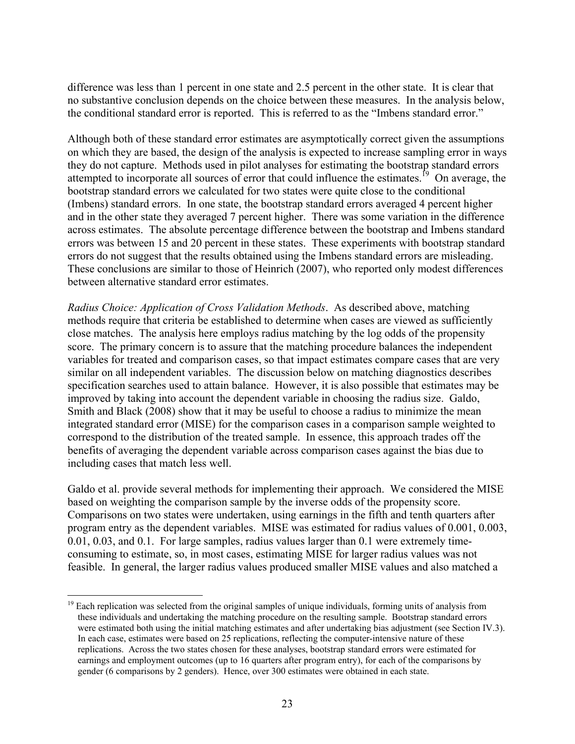difference was less than 1 percent in one state and 2.5 percent in the other state. It is clear that no substantive conclusion depends on the choice between these measures. In the analysis below, the conditional standard error is reported. This is referred to as the "Imbens standard error."

Although both of these standard error estimates are asymptotically correct given the assumptions on which they are based, the design of the analysis is expected to increase sampling error in ways they do not capture. Methods used in pilot analyses for estimating the bootstrap standard errors attempted to incorporate all sources of error that could influence the estimates.<sup>19</sup> On average, the bootstrap standard errors we calculated for two states were quite close to the conditional (Imbens) standard errors. In one state, the bootstrap standard errors averaged 4 percent higher and in the other state they averaged 7 percent higher. There was some variation in the difference across estimates. The absolute percentage difference between the bootstrap and Imbens standard errors was between 15 and 20 percent in these states. These experiments with bootstrap standard errors do not suggest that the results obtained using the Imbens standard errors are misleading. These conclusions are similar to those of Heinrich (2007), who reported only modest differences between alternative standard error estimates.

*Radius Choice: Application of Cross Validation Methods*. As described above, matching methods require that criteria be established to determine when cases are viewed as sufficiently close matches. The analysis here employs radius matching by the log odds of the propensity score. The primary concern is to assure that the matching procedure balances the independent variables for treated and comparison cases, so that impact estimates compare cases that are very similar on all independent variables. The discussion below on matching diagnostics describes specification searches used to attain balance. However, it is also possible that estimates may be improved by taking into account the dependent variable in choosing the radius size. Galdo, Smith and Black (2008) show that it may be useful to choose a radius to minimize the mean integrated standard error (MISE) for the comparison cases in a comparison sample weighted to correspond to the distribution of the treated sample. In essence, this approach trades off the benefits of averaging the dependent variable across comparison cases against the bias due to including cases that match less well.

Galdo et al. provide several methods for implementing their approach. We considered the MISE based on weighting the comparison sample by the inverse odds of the propensity score. Comparisons on two states were undertaken, using earnings in the fifth and tenth quarters after program entry as the dependent variables. MISE was estimated for radius values of 0.001, 0.003, 0.01, 0.03, and 0.1. For large samples, radius values larger than 0.1 were extremely timeconsuming to estimate, so, in most cases, estimating MISE for larger radius values was not feasible. In general, the larger radius values produced smaller MISE values and also matched a

<u>.</u>

 $19$  Each replication was selected from the original samples of unique individuals, forming units of analysis from these individuals and undertaking the matching procedure on the resulting sample. Bootstrap standard errors were estimated both using the initial matching estimates and after undertaking bias adjustment (see Section IV.3). In each case, estimates were based on 25 replications, reflecting the computer-intensive nature of these replications. Across the two states chosen for these analyses, bootstrap standard errors were estimated for earnings and employment outcomes (up to 16 quarters after program entry), for each of the comparisons by gender (6 comparisons by 2 genders). Hence, over 300 estimates were obtained in each state.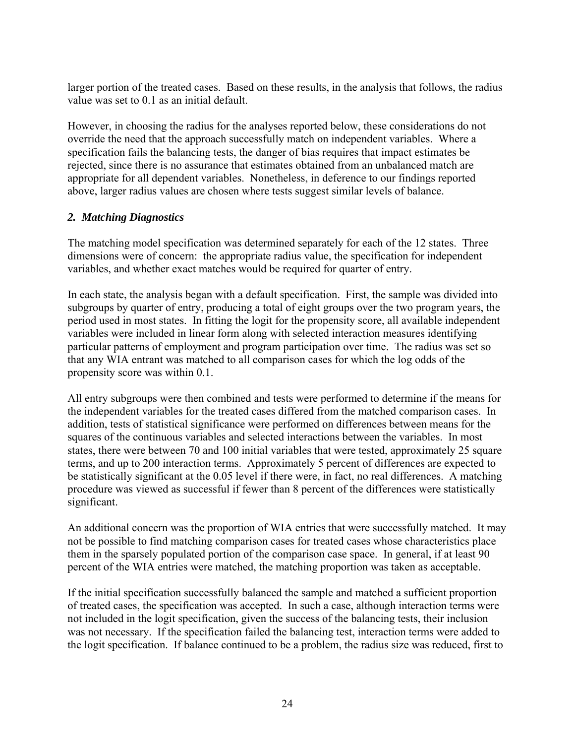larger portion of the treated cases. Based on these results, in the analysis that follows, the radius value was set to 0.1 as an initial default.

However, in choosing the radius for the analyses reported below, these considerations do not override the need that the approach successfully match on independent variables. Where a specification fails the balancing tests, the danger of bias requires that impact estimates be rejected, since there is no assurance that estimates obtained from an unbalanced match are appropriate for all dependent variables. Nonetheless, in deference to our findings reported above, larger radius values are chosen where tests suggest similar levels of balance.

## *2. Matching Diagnostics*

The matching model specification was determined separately for each of the 12 states. Three dimensions were of concern: the appropriate radius value, the specification for independent variables, and whether exact matches would be required for quarter of entry.

In each state, the analysis began with a default specification. First, the sample was divided into subgroups by quarter of entry, producing a total of eight groups over the two program years, the period used in most states. In fitting the logit for the propensity score, all available independent variables were included in linear form along with selected interaction measures identifying particular patterns of employment and program participation over time. The radius was set so that any WIA entrant was matched to all comparison cases for which the log odds of the propensity score was within 0.1.

All entry subgroups were then combined and tests were performed to determine if the means for the independent variables for the treated cases differed from the matched comparison cases. In addition, tests of statistical significance were performed on differences between means for the squares of the continuous variables and selected interactions between the variables. In most states, there were between 70 and 100 initial variables that were tested, approximately 25 square terms, and up to 200 interaction terms. Approximately 5 percent of differences are expected to be statistically significant at the 0.05 level if there were, in fact, no real differences. A matching procedure was viewed as successful if fewer than 8 percent of the differences were statistically significant.

An additional concern was the proportion of WIA entries that were successfully matched. It may not be possible to find matching comparison cases for treated cases whose characteristics place them in the sparsely populated portion of the comparison case space. In general, if at least 90 percent of the WIA entries were matched, the matching proportion was taken as acceptable.

If the initial specification successfully balanced the sample and matched a sufficient proportion of treated cases, the specification was accepted. In such a case, although interaction terms were not included in the logit specification, given the success of the balancing tests, their inclusion was not necessary. If the specification failed the balancing test, interaction terms were added to the logit specification. If balance continued to be a problem, the radius size was reduced, first to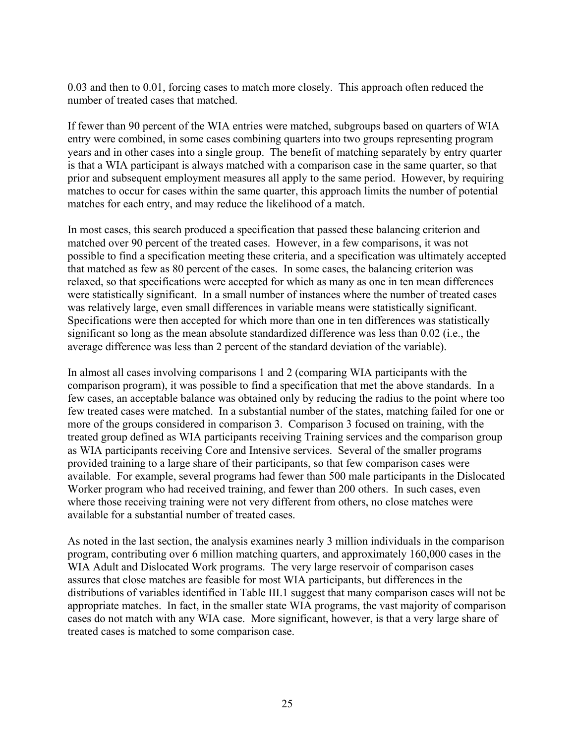0.03 and then to 0.01, forcing cases to match more closely. This approach often reduced the number of treated cases that matched.

If fewer than 90 percent of the WIA entries were matched, subgroups based on quarters of WIA entry were combined, in some cases combining quarters into two groups representing program years and in other cases into a single group. The benefit of matching separately by entry quarter is that a WIA participant is always matched with a comparison case in the same quarter, so that prior and subsequent employment measures all apply to the same period. However, by requiring matches to occur for cases within the same quarter, this approach limits the number of potential matches for each entry, and may reduce the likelihood of a match.

In most cases, this search produced a specification that passed these balancing criterion and matched over 90 percent of the treated cases. However, in a few comparisons, it was not possible to find a specification meeting these criteria, and a specification was ultimately accepted that matched as few as 80 percent of the cases. In some cases, the balancing criterion was relaxed, so that specifications were accepted for which as many as one in ten mean differences were statistically significant. In a small number of instances where the number of treated cases was relatively large, even small differences in variable means were statistically significant. Specifications were then accepted for which more than one in ten differences was statistically significant so long as the mean absolute standardized difference was less than 0.02 (i.e., the average difference was less than 2 percent of the standard deviation of the variable).

In almost all cases involving comparisons 1 and 2 (comparing WIA participants with the comparison program), it was possible to find a specification that met the above standards. In a few cases, an acceptable balance was obtained only by reducing the radius to the point where too few treated cases were matched. In a substantial number of the states, matching failed for one or more of the groups considered in comparison 3. Comparison 3 focused on training, with the treated group defined as WIA participants receiving Training services and the comparison group as WIA participants receiving Core and Intensive services. Several of the smaller programs provided training to a large share of their participants, so that few comparison cases were available. For example, several programs had fewer than 500 male participants in the Dislocated Worker program who had received training, and fewer than 200 others. In such cases, even where those receiving training were not very different from others, no close matches were available for a substantial number of treated cases.

As noted in the last section, the analysis examines nearly 3 million individuals in the comparison program, contributing over 6 million matching quarters, and approximately 160,000 cases in the WIA Adult and Dislocated Work programs. The very large reservoir of comparison cases assures that close matches are feasible for most WIA participants, but differences in the distributions of variables identified in Table III.1 suggest that many comparison cases will not be appropriate matches. In fact, in the smaller state WIA programs, the vast majority of comparison cases do not match with any WIA case. More significant, however, is that a very large share of treated cases is matched to some comparison case.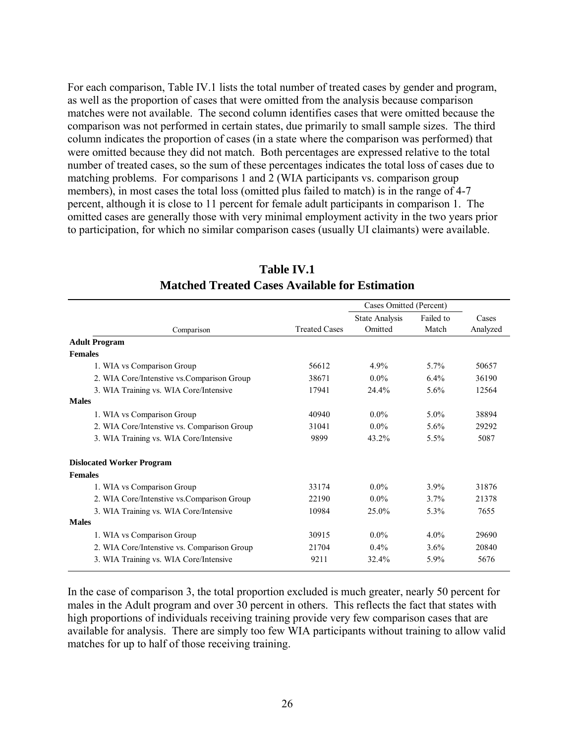For each comparison, Table IV.1 lists the total number of treated cases by gender and program, as well as the proportion of cases that were omitted from the analysis because comparison matches were not available. The second column identifies cases that were omitted because the comparison was not performed in certain states, due primarily to small sample sizes. The third column indicates the proportion of cases (in a state where the comparison was performed) that were omitted because they did not match. Both percentages are expressed relative to the total number of treated cases, so the sum of these percentages indicates the total loss of cases due to matching problems. For comparisons 1 and 2 (WIA participants vs. comparison group members), in most cases the total loss (omitted plus failed to match) is in the range of 4-7 percent, although it is close to 11 percent for female adult participants in comparison 1. The omitted cases are generally those with very minimal employment activity in the two years prior to participation, for which no similar comparison cases (usually UI claimants) were available.

|                                             |                      | Cases Omitted (Percent)          |                    |                   |
|---------------------------------------------|----------------------|----------------------------------|--------------------|-------------------|
| Comparison                                  | <b>Treated Cases</b> | <b>State Analysis</b><br>Omitted | Failed to<br>Match | Cases<br>Analyzed |
| <b>Adult Program</b>                        |                      |                                  |                    |                   |
| <b>Females</b>                              |                      |                                  |                    |                   |
| 1. WIA vs Comparison Group                  | 56612                | 4.9%                             | 5.7%               | 50657             |
| 2. WIA Core/Intenstive vs.Comparison Group  | 38671                | $0.0\%$                          | 6.4%               | 36190             |
| 3. WIA Training vs. WIA Core/Intensive      | 17941                | 24.4%                            | 5.6%               | 12564             |
| <b>Males</b>                                |                      |                                  |                    |                   |
| 1. WIA vs Comparison Group                  | 40940                | $0.0\%$                          | $5.0\%$            | 38894             |
| 2. WIA Core/Intenstive vs. Comparison Group | 31041                | $0.0\%$                          | 5.6%               | 29292             |
| 3. WIA Training vs. WIA Core/Intensive      | 9899                 | 43.2%                            | 5.5%               | 5087              |
| <b>Dislocated Worker Program</b>            |                      |                                  |                    |                   |
| <b>Females</b>                              |                      |                                  |                    |                   |
| 1. WIA vs Comparison Group                  | 33174                | $0.0\%$                          | 3.9%               | 31876             |
| 2. WIA Core/Intenstive vs. Comparison Group | 22190                | $0.0\%$                          | 3.7%               | 21378             |
| 3. WIA Training vs. WIA Core/Intensive      | 10984                | 25.0%                            | 5.3%               | 7655              |
| <b>Males</b>                                |                      |                                  |                    |                   |
| 1. WIA vs Comparison Group                  | 30915                | $0.0\%$                          | $4.0\%$            | 29690             |
| 2. WIA Core/Intenstive vs. Comparison Group | 21704                | $0.4\%$                          | 3.6%               | 20840             |
| 3. WIA Training vs. WIA Core/Intensive      | 9211                 | 32.4%                            | 5.9%               | 5676              |

# **Table IV.1 Matched Treated Cases Available for Estimation**

In the case of comparison 3, the total proportion excluded is much greater, nearly 50 percent for males in the Adult program and over 30 percent in others. This reflects the fact that states with high proportions of individuals receiving training provide very few comparison cases that are available for analysis. There are simply too few WIA participants without training to allow valid matches for up to half of those receiving training.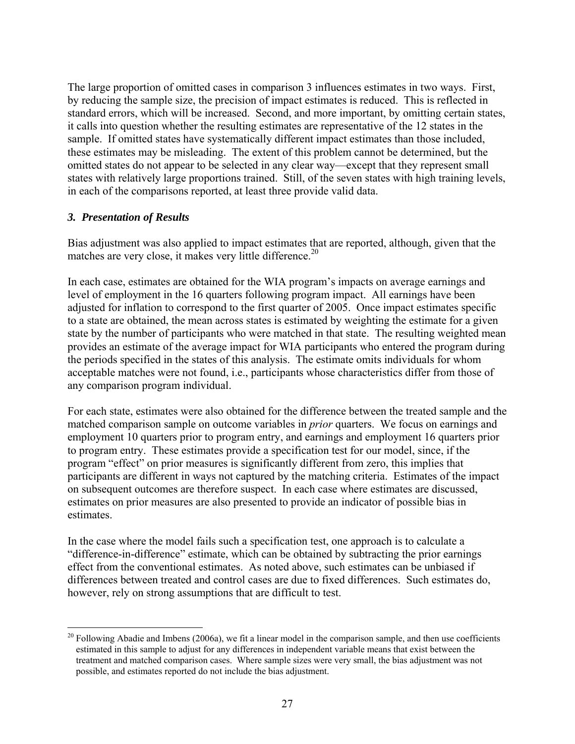The large proportion of omitted cases in comparison 3 influences estimates in two ways. First, by reducing the sample size, the precision of impact estimates is reduced. This is reflected in standard errors, which will be increased. Second, and more important, by omitting certain states, it calls into question whether the resulting estimates are representative of the 12 states in the sample. If omitted states have systematically different impact estimates than those included, these estimates may be misleading. The extent of this problem cannot be determined, but the omitted states do not appear to be selected in any clear way—except that they represent small states with relatively large proportions trained. Still, of the seven states with high training levels, in each of the comparisons reported, at least three provide valid data.

### *3. Presentation of Results*

 $\overline{a}$ 

Bias adjustment was also applied to impact estimates that are reported, although, given that the matches are very close, it makes very little difference. $20$ 

In each case, estimates are obtained for the WIA program's impacts on average earnings and level of employment in the 16 quarters following program impact. All earnings have been adjusted for inflation to correspond to the first quarter of 2005. Once impact estimates specific to a state are obtained, the mean across states is estimated by weighting the estimate for a given state by the number of participants who were matched in that state. The resulting weighted mean provides an estimate of the average impact for WIA participants who entered the program during the periods specified in the states of this analysis. The estimate omits individuals for whom acceptable matches were not found, i.e., participants whose characteristics differ from those of any comparison program individual.

For each state, estimates were also obtained for the difference between the treated sample and the matched comparison sample on outcome variables in *prior* quarters. We focus on earnings and employment 10 quarters prior to program entry, and earnings and employment 16 quarters prior to program entry. These estimates provide a specification test for our model, since, if the program "effect" on prior measures is significantly different from zero, this implies that participants are different in ways not captured by the matching criteria. Estimates of the impact on subsequent outcomes are therefore suspect. In each case where estimates are discussed, estimates on prior measures are also presented to provide an indicator of possible bias in estimates.

In the case where the model fails such a specification test, one approach is to calculate a "difference-in-difference" estimate, which can be obtained by subtracting the prior earnings effect from the conventional estimates. As noted above, such estimates can be unbiased if differences between treated and control cases are due to fixed differences. Such estimates do, however, rely on strong assumptions that are difficult to test.

 $20$  Following Abadie and Imbens (2006a), we fit a linear model in the comparison sample, and then use coefficients estimated in this sample to adjust for any differences in independent variable means that exist between the treatment and matched comparison cases. Where sample sizes were very small, the bias adjustment was not possible, and estimates reported do not include the bias adjustment.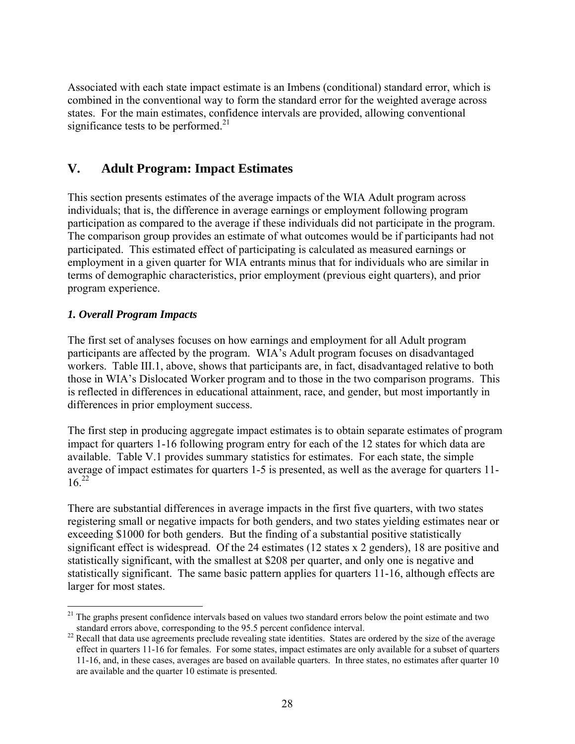Associated with each state impact estimate is an Imbens (conditional) standard error, which is combined in the conventional way to form the standard error for the weighted average across states. For the main estimates, confidence intervals are provided, allowing conventional significance tests to be performed. $2<sup>1</sup>$ 

# **V. Adult Program: Impact Estimates**

This section presents estimates of the average impacts of the WIA Adult program across individuals; that is, the difference in average earnings or employment following program participation as compared to the average if these individuals did not participate in the program. The comparison group provides an estimate of what outcomes would be if participants had not participated. This estimated effect of participating is calculated as measured earnings or employment in a given quarter for WIA entrants minus that for individuals who are similar in terms of demographic characteristics, prior employment (previous eight quarters), and prior program experience.

## *1. Overall Program Impacts*

The first set of analyses focuses on how earnings and employment for all Adult program participants are affected by the program. WIA's Adult program focuses on disadvantaged workers. Table III.1, above, shows that participants are, in fact, disadvantaged relative to both those in WIA's Dislocated Worker program and to those in the two comparison programs. This is reflected in differences in educational attainment, race, and gender, but most importantly in differences in prior employment success.

The first step in producing aggregate impact estimates is to obtain separate estimates of program impact for quarters 1-16 following program entry for each of the 12 states for which data are available. Table V.1 provides summary statistics for estimates. For each state, the simple average of impact estimates for quarters 1-5 is presented, as well as the average for quarters 11-  $16^{22}$ 

There are substantial differences in average impacts in the first five quarters, with two states registering small or negative impacts for both genders, and two states yielding estimates near or exceeding \$1000 for both genders. But the finding of a substantial positive statistically significant effect is widespread. Of the 24 estimates (12 states x 2 genders), 18 are positive and statistically significant, with the smallest at \$208 per quarter, and only one is negative and statistically significant. The same basic pattern applies for quarters 11-16, although effects are larger for most states.

<sup>1</sup>  $21$  The graphs present confidence intervals based on values two standard errors below the point estimate and two standard errors above, corresponding to the 95.5 percent confidence interval.

 $22$  Recall that data use agreements preclude revealing state identities. States are ordered by the size of the average effect in quarters 11-16 for females. For some states, impact estimates are only available for a subset of quarters 11-16, and, in these cases, averages are based on available quarters. In three states, no estimates after quarter 10 are available and the quarter 10 estimate is presented.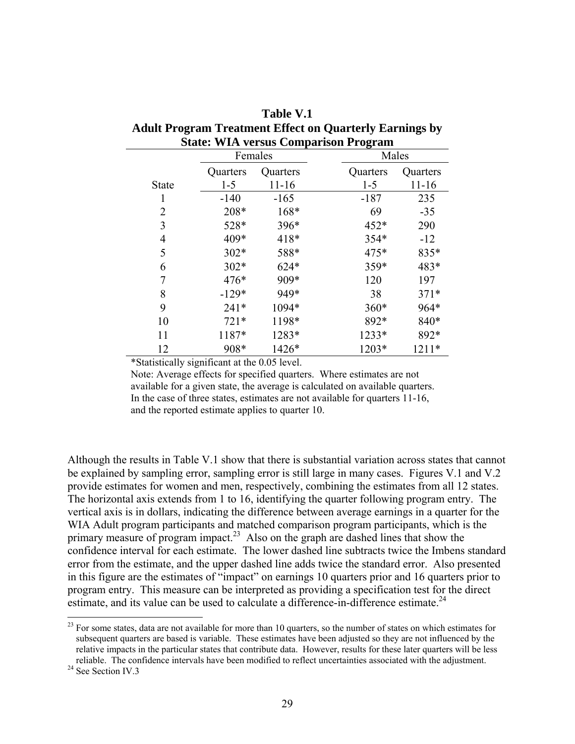| $\frac{1}{2}$ and $\frac{1}{2}$ and $\frac{1}{2}$ cannon $\frac{1}{2}$ are $\frac{1}{2}$ cannon $\frac{1}{2}$ by $\frac{1}{2}$ |          |           |          |           |  |  |  |  |  |
|--------------------------------------------------------------------------------------------------------------------------------|----------|-----------|----------|-----------|--|--|--|--|--|
| <b>State: WIA versus Comparison Program</b>                                                                                    |          |           |          |           |  |  |  |  |  |
|                                                                                                                                |          | Females   | Males    |           |  |  |  |  |  |
|                                                                                                                                | Quarters | Quarters  | Quarters | Quarters  |  |  |  |  |  |
| State                                                                                                                          | $1 - 5$  | $11 - 16$ | $1 - 5$  | $11 - 16$ |  |  |  |  |  |
| 1                                                                                                                              | $-140$   | $-165$    | $-187$   | 235       |  |  |  |  |  |
| 2                                                                                                                              | 208*     | $168*$    | 69       | $-35$     |  |  |  |  |  |
| 3                                                                                                                              | 528*     | 396*      | $452*$   | 290       |  |  |  |  |  |
| 4                                                                                                                              | 409*     | 418*      | 354*     | $-12$     |  |  |  |  |  |
| 5                                                                                                                              | $302*$   | 588*      | $475*$   | 835*      |  |  |  |  |  |
| 6                                                                                                                              | $302*$   | $624*$    | 359*     | 483*      |  |  |  |  |  |
| 7                                                                                                                              | $476*$   | 909*      | 120      | 197       |  |  |  |  |  |
| 8                                                                                                                              | $-129*$  | 949*      | 38       | $371*$    |  |  |  |  |  |
| 9                                                                                                                              | $241*$   | 1094*     | $360*$   | 964*      |  |  |  |  |  |
| 10                                                                                                                             | $721*$   | 1198*     | 892*     | 840*      |  |  |  |  |  |
| 11                                                                                                                             | 1187*    | 1283*     | $1233*$  | 892*      |  |  |  |  |  |
| 12                                                                                                                             | 908*     | 1426*     | 1203*    | $1211*$   |  |  |  |  |  |

**Table V.1 Adult Program Treatment Effect on Quarterly Earnings by** 

\*Statistically significant at the 0.05 level.

Note: Average effects for specified quarters. Where estimates are not available for a given state, the average is calculated on available quarters. In the case of three states, estimates are not available for quarters 11-16, and the reported estimate applies to quarter 10.

Although the results in Table V.1 show that there is substantial variation across states that cannot be explained by sampling error, sampling error is still large in many cases. Figures V.1 and V.2 provide estimates for women and men, respectively, combining the estimates from all 12 states. The horizontal axis extends from 1 to 16, identifying the quarter following program entry. The vertical axis is in dollars, indicating the difference between average earnings in a quarter for the WIA Adult program participants and matched comparison program participants, which is the primary measure of program impact.<sup>23</sup> Also on the graph are dashed lines that show the confidence interval for each estimate. The lower dashed line subtracts twice the Imbens standard error from the estimate, and the upper dashed line adds twice the standard error. Also presented in this figure are the estimates of "impact" on earnings 10 quarters prior and 16 quarters prior to program entry. This measure can be interpreted as providing a specification test for the direct estimate, and its value can be used to calculate a difference-in-difference estimate.<sup>24</sup>

 $\overline{a}$ 

 $2<sup>23</sup>$  For some states, data are not available for more than 10 quarters, so the number of states on which estimates for subsequent quarters are based is variable. These estimates have been adjusted so they are not influenced by the relative impacts in the particular states that contribute data. However, results for these later quarters will be less reliable. The confidence intervals have been modified to reflect uncertainties associated with the adjustment. 24 See Section IV.3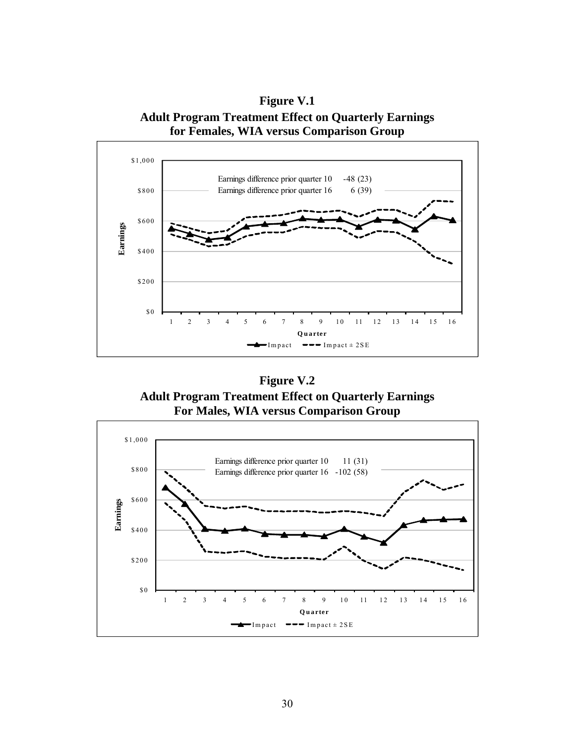**Figure V.1 Adult Program Treatment Effect on Quarterly Earnings for Females, WIA versus Comparison Group** 



**Figure V.2 Adult Program Treatment Effect on Quarterly Earnings For Males, WIA versus Comparison Group** 

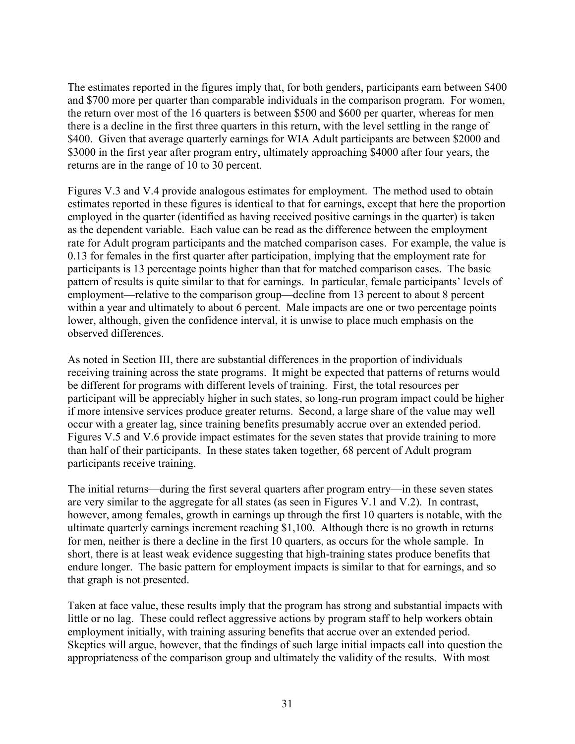The estimates reported in the figures imply that, for both genders, participants earn between \$400 and \$700 more per quarter than comparable individuals in the comparison program. For women, the return over most of the 16 quarters is between \$500 and \$600 per quarter, whereas for men there is a decline in the first three quarters in this return, with the level settling in the range of \$400. Given that average quarterly earnings for WIA Adult participants are between \$2000 and \$3000 in the first year after program entry, ultimately approaching \$4000 after four years, the returns are in the range of 10 to 30 percent.

Figures V.3 and V.4 provide analogous estimates for employment. The method used to obtain estimates reported in these figures is identical to that for earnings, except that here the proportion employed in the quarter (identified as having received positive earnings in the quarter) is taken as the dependent variable. Each value can be read as the difference between the employment rate for Adult program participants and the matched comparison cases. For example, the value is 0.13 for females in the first quarter after participation, implying that the employment rate for participants is 13 percentage points higher than that for matched comparison cases. The basic pattern of results is quite similar to that for earnings. In particular, female participants' levels of employment—relative to the comparison group—decline from 13 percent to about 8 percent within a year and ultimately to about 6 percent. Male impacts are one or two percentage points lower, although, given the confidence interval, it is unwise to place much emphasis on the observed differences.

As noted in Section III, there are substantial differences in the proportion of individuals receiving training across the state programs. It might be expected that patterns of returns would be different for programs with different levels of training. First, the total resources per participant will be appreciably higher in such states, so long-run program impact could be higher if more intensive services produce greater returns. Second, a large share of the value may well occur with a greater lag, since training benefits presumably accrue over an extended period. Figures V.5 and V.6 provide impact estimates for the seven states that provide training to more than half of their participants. In these states taken together, 68 percent of Adult program participants receive training.

The initial returns—during the first several quarters after program entry—in these seven states are very similar to the aggregate for all states (as seen in Figures V.1 and V.2). In contrast, however, among females, growth in earnings up through the first 10 quarters is notable, with the ultimate quarterly earnings increment reaching \$1,100. Although there is no growth in returns for men, neither is there a decline in the first 10 quarters, as occurs for the whole sample. In short, there is at least weak evidence suggesting that high-training states produce benefits that endure longer. The basic pattern for employment impacts is similar to that for earnings, and so that graph is not presented.

Taken at face value, these results imply that the program has strong and substantial impacts with little or no lag. These could reflect aggressive actions by program staff to help workers obtain employment initially, with training assuring benefits that accrue over an extended period. Skeptics will argue, however, that the findings of such large initial impacts call into question the appropriateness of the comparison group and ultimately the validity of the results. With most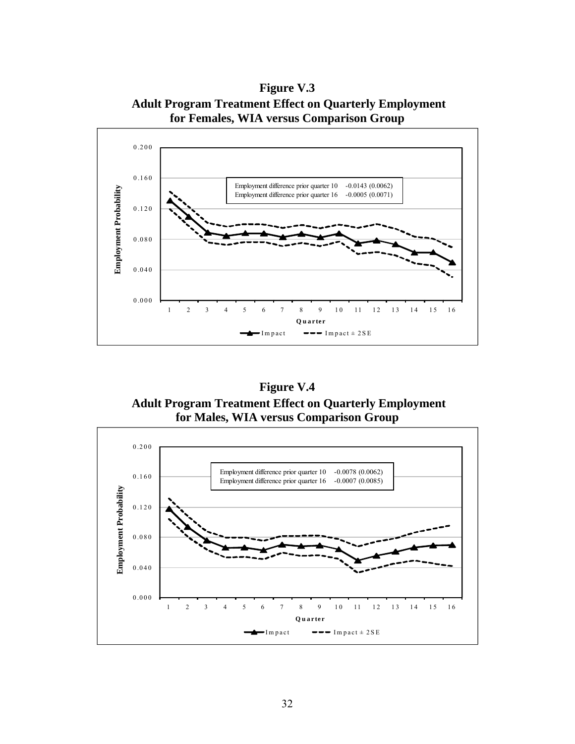**Figure V.3 Adult Program Treatment Effect on Quarterly Employment for Females, WIA versus Comparison Group** 



**Figure V.4 Adult Program Treatment Effect on Quarterly Employment for Males, WIA versus Comparison Group** 

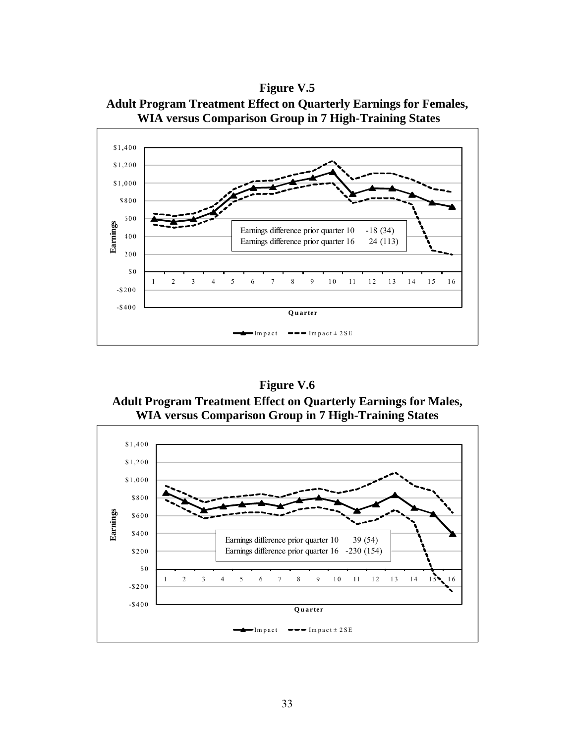**Figure V.5 Adult Program Treatment Effect on Quarterly Earnings for Females, WIA versus Comparison Group in 7 High-Training States** 



**Figure V.6 Adult Program Treatment Effect on Quarterly Earnings for Males, WIA versus Comparison Group in 7 High-Training States** 

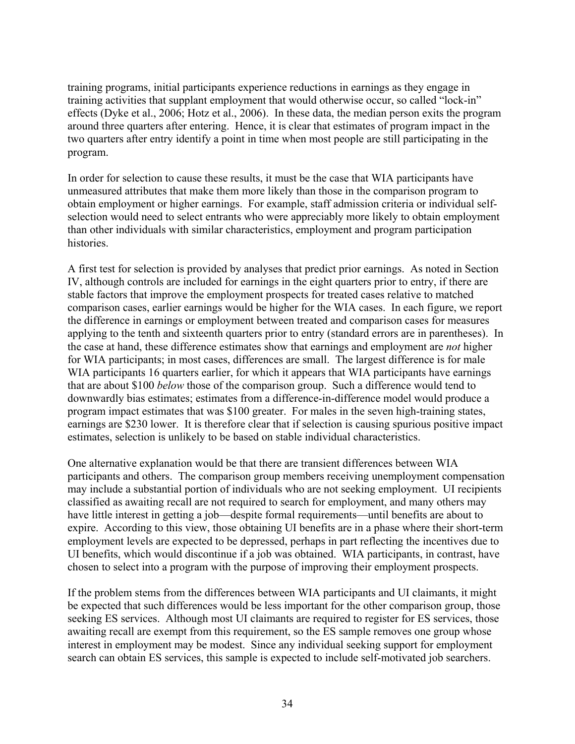training programs, initial participants experience reductions in earnings as they engage in training activities that supplant employment that would otherwise occur, so called "lock-in" effects (Dyke et al., 2006; Hotz et al., 2006). In these data, the median person exits the program around three quarters after entering. Hence, it is clear that estimates of program impact in the two quarters after entry identify a point in time when most people are still participating in the program.

In order for selection to cause these results, it must be the case that WIA participants have unmeasured attributes that make them more likely than those in the comparison program to obtain employment or higher earnings. For example, staff admission criteria or individual selfselection would need to select entrants who were appreciably more likely to obtain employment than other individuals with similar characteristics, employment and program participation histories.

A first test for selection is provided by analyses that predict prior earnings. As noted in Section IV, although controls are included for earnings in the eight quarters prior to entry, if there are stable factors that improve the employment prospects for treated cases relative to matched comparison cases, earlier earnings would be higher for the WIA cases. In each figure, we report the difference in earnings or employment between treated and comparison cases for measures applying to the tenth and sixteenth quarters prior to entry (standard errors are in parentheses). In the case at hand, these difference estimates show that earnings and employment are *not* higher for WIA participants; in most cases, differences are small. The largest difference is for male WIA participants 16 quarters earlier, for which it appears that WIA participants have earnings that are about \$100 *below* those of the comparison group. Such a difference would tend to downwardly bias estimates; estimates from a difference-in-difference model would produce a program impact estimates that was \$100 greater. For males in the seven high-training states, earnings are \$230 lower. It is therefore clear that if selection is causing spurious positive impact estimates, selection is unlikely to be based on stable individual characteristics.

One alternative explanation would be that there are transient differences between WIA participants and others. The comparison group members receiving unemployment compensation may include a substantial portion of individuals who are not seeking employment. UI recipients classified as awaiting recall are not required to search for employment, and many others may have little interest in getting a job—despite formal requirements—until benefits are about to expire. According to this view, those obtaining UI benefits are in a phase where their short-term employment levels are expected to be depressed, perhaps in part reflecting the incentives due to UI benefits, which would discontinue if a job was obtained. WIA participants, in contrast, have chosen to select into a program with the purpose of improving their employment prospects.

If the problem stems from the differences between WIA participants and UI claimants, it might be expected that such differences would be less important for the other comparison group, those seeking ES services. Although most UI claimants are required to register for ES services, those awaiting recall are exempt from this requirement, so the ES sample removes one group whose interest in employment may be modest. Since any individual seeking support for employment search can obtain ES services, this sample is expected to include self-motivated job searchers.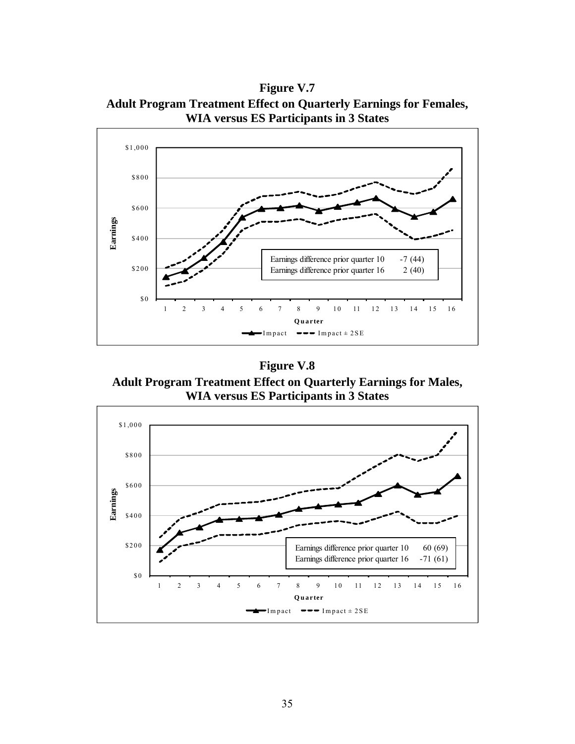**Figure V.7 Adult Program Treatment Effect on Quarterly Earnings for Females, WIA versus ES Participants in 3 States** 



**Figure V.8** 

**Adult Program Treatment Effect on Quarterly Earnings for Males, WIA versus ES Participants in 3 States** 

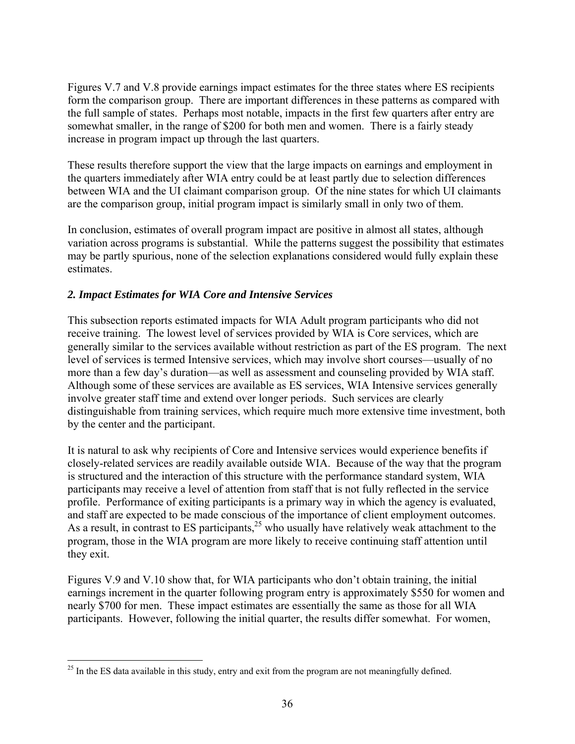Figures V.7 and V.8 provide earnings impact estimates for the three states where ES recipients form the comparison group. There are important differences in these patterns as compared with the full sample of states. Perhaps most notable, impacts in the first few quarters after entry are somewhat smaller, in the range of \$200 for both men and women. There is a fairly steady increase in program impact up through the last quarters.

These results therefore support the view that the large impacts on earnings and employment in the quarters immediately after WIA entry could be at least partly due to selection differences between WIA and the UI claimant comparison group. Of the nine states for which UI claimants are the comparison group, initial program impact is similarly small in only two of them.

In conclusion, estimates of overall program impact are positive in almost all states, although variation across programs is substantial. While the patterns suggest the possibility that estimates may be partly spurious, none of the selection explanations considered would fully explain these estimates.

## *2. Impact Estimates for WIA Core and Intensive Services*

This subsection reports estimated impacts for WIA Adult program participants who did not receive training. The lowest level of services provided by WIA is Core services, which are generally similar to the services available without restriction as part of the ES program. The next level of services is termed Intensive services, which may involve short courses—usually of no more than a few day's duration—as well as assessment and counseling provided by WIA staff. Although some of these services are available as ES services, WIA Intensive services generally involve greater staff time and extend over longer periods. Such services are clearly distinguishable from training services, which require much more extensive time investment, both by the center and the participant.

It is natural to ask why recipients of Core and Intensive services would experience benefits if closely-related services are readily available outside WIA. Because of the way that the program is structured and the interaction of this structure with the performance standard system, WIA participants may receive a level of attention from staff that is not fully reflected in the service profile. Performance of exiting participants is a primary way in which the agency is evaluated, and staff are expected to be made conscious of the importance of client employment outcomes. As a result, in contrast to ES participants,  $2^5$  who usually have relatively weak attachment to the program, those in the WIA program are more likely to receive continuing staff attention until they exit.

Figures V.9 and V.10 show that, for WIA participants who don't obtain training, the initial earnings increment in the quarter following program entry is approximately \$550 for women and nearly \$700 for men. These impact estimates are essentially the same as those for all WIA participants. However, following the initial quarter, the results differ somewhat. For women,

 $\overline{a}$ 

<sup>&</sup>lt;sup>25</sup> In the ES data available in this study, entry and exit from the program are not meaningfully defined.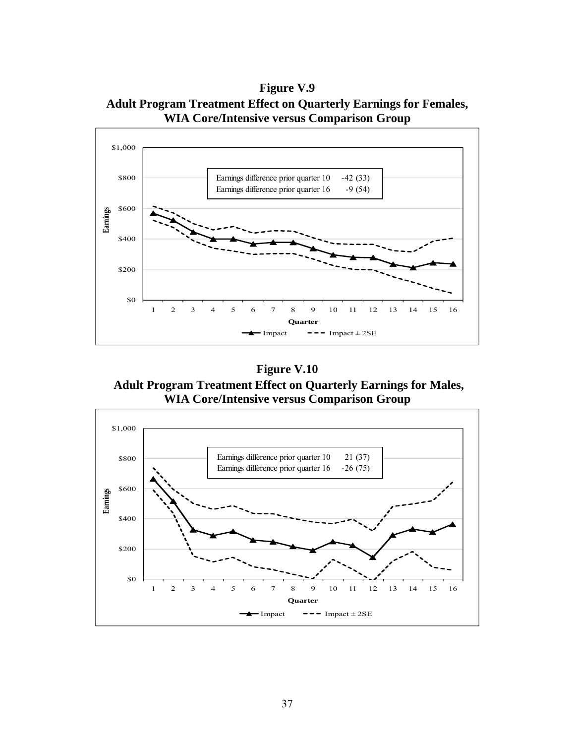**Figure V.9 Adult Program Treatment Effect on Quarterly Earnings for Females, WIA Core/Intensive versus Comparison Group** 



**Figure V.10 Adult Program Treatment Effect on Quarterly Earnings for Males, WIA Core/Intensive versus Comparison Group** 

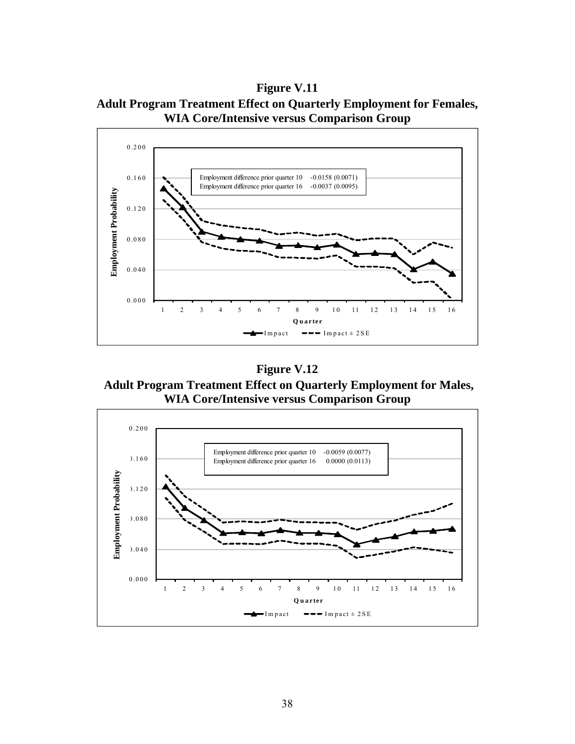**Figure V.11 Adult Program Treatment Effect on Quarterly Employment for Females, WIA Core/Intensive versus Comparison Group** 



**Figure V.12** 

 **Adult Program Treatment Effect on Quarterly Employment for Males, WIA Core/Intensive versus Comparison Group** 

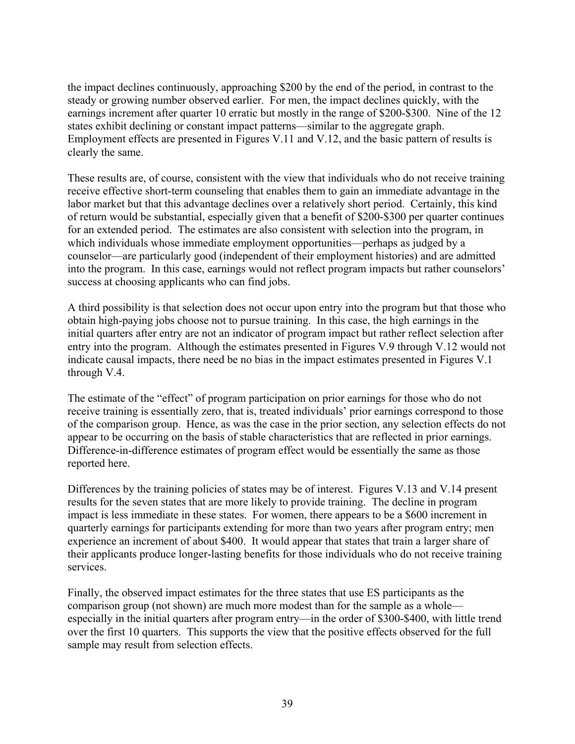the impact declines continuously, approaching \$200 by the end of the period, in contrast to the steady or growing number observed earlier. For men, the impact declines quickly, with the earnings increment after quarter 10 erratic but mostly in the range of \$200-\$300. Nine of the 12 states exhibit declining or constant impact patterns—similar to the aggregate graph. Employment effects are presented in Figures V.11 and V.12, and the basic pattern of results is clearly the same.

These results are, of course, consistent with the view that individuals who do not receive training receive effective short-term counseling that enables them to gain an immediate advantage in the labor market but that this advantage declines over a relatively short period. Certainly, this kind of return would be substantial, especially given that a benefit of \$200-\$300 per quarter continues for an extended period. The estimates are also consistent with selection into the program, in which individuals whose immediate employment opportunities—perhaps as judged by a counselor—are particularly good (independent of their employment histories) and are admitted into the program. In this case, earnings would not reflect program impacts but rather counselors' success at choosing applicants who can find jobs.

A third possibility is that selection does not occur upon entry into the program but that those who obtain high-paying jobs choose not to pursue training. In this case, the high earnings in the initial quarters after entry are not an indicator of program impact but rather reflect selection after entry into the program. Although the estimates presented in Figures V.9 through V.12 would not indicate causal impacts, there need be no bias in the impact estimates presented in Figures V.1 through V.4.

The estimate of the "effect" of program participation on prior earnings for those who do not receive training is essentially zero, that is, treated individuals' prior earnings correspond to those of the comparison group. Hence, as was the case in the prior section, any selection effects do not appear to be occurring on the basis of stable characteristics that are reflected in prior earnings. Difference-in-difference estimates of program effect would be essentially the same as those reported here.

Differences by the training policies of states may be of interest. Figures V.13 and V.14 present results for the seven states that are more likely to provide training. The decline in program impact is less immediate in these states. For women, there appears to be a \$600 increment in quarterly earnings for participants extending for more than two years after program entry; men experience an increment of about \$400. It would appear that states that train a larger share of their applicants produce longer-lasting benefits for those individuals who do not receive training services.

Finally, the observed impact estimates for the three states that use ES participants as the comparison group (not shown) are much more modest than for the sample as a whole especially in the initial quarters after program entry—in the order of \$300-\$400, with little trend over the first 10 quarters. This supports the view that the positive effects observed for the full sample may result from selection effects.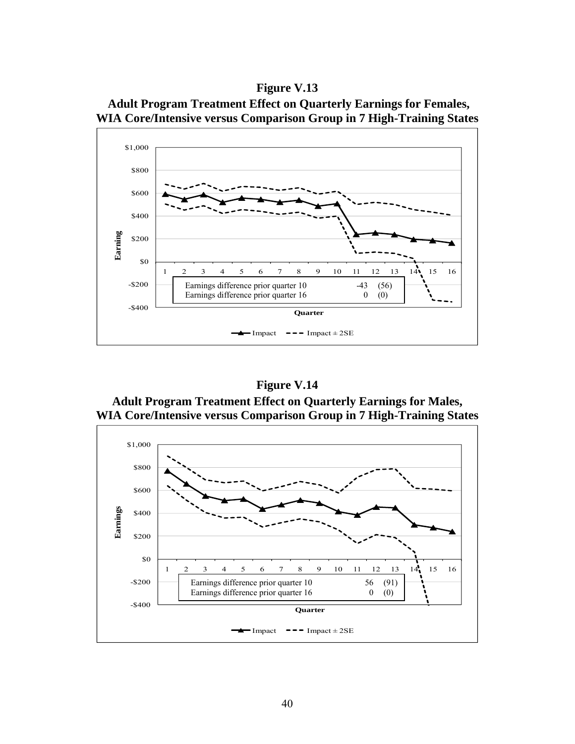





**Figure V.14 Adult Program Treatment Effect on Quarterly Earnings for Males, WIA Core/Intensive versus Comparison Group in 7 High-Training States** 

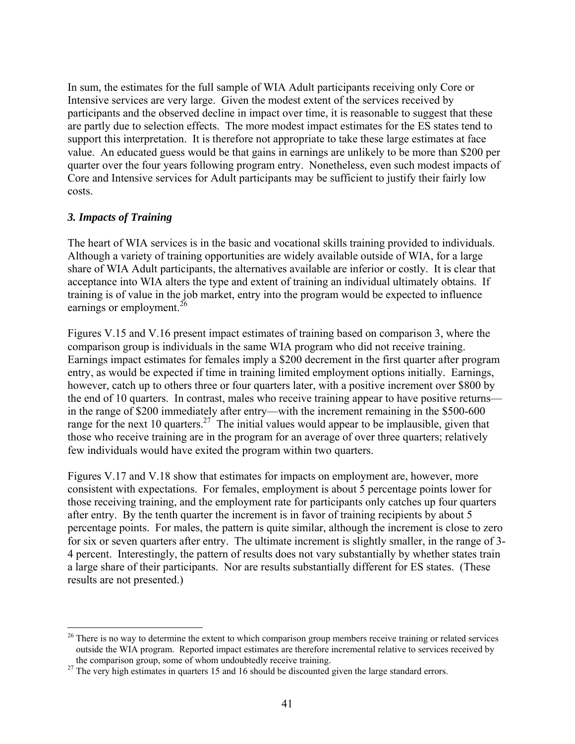In sum, the estimates for the full sample of WIA Adult participants receiving only Core or Intensive services are very large. Given the modest extent of the services received by participants and the observed decline in impact over time, it is reasonable to suggest that these are partly due to selection effects. The more modest impact estimates for the ES states tend to support this interpretation. It is therefore not appropriate to take these large estimates at face value. An educated guess would be that gains in earnings are unlikely to be more than \$200 per quarter over the four years following program entry. Nonetheless, even such modest impacts of Core and Intensive services for Adult participants may be sufficient to justify their fairly low costs.

#### *3. Impacts of Training*

 $\overline{a}$ 

The heart of WIA services is in the basic and vocational skills training provided to individuals. Although a variety of training opportunities are widely available outside of WIA, for a large share of WIA Adult participants, the alternatives available are inferior or costly. It is clear that acceptance into WIA alters the type and extent of training an individual ultimately obtains. If training is of value in the job market, entry into the program would be expected to influence earnings or employment.<sup>26</sup>

Figures V.15 and V.16 present impact estimates of training based on comparison 3, where the comparison group is individuals in the same WIA program who did not receive training. Earnings impact estimates for females imply a \$200 decrement in the first quarter after program entry, as would be expected if time in training limited employment options initially. Earnings, however, catch up to others three or four quarters later, with a positive increment over \$800 by the end of 10 quarters. In contrast, males who receive training appear to have positive returns in the range of \$200 immediately after entry—with the increment remaining in the \$500-600 range for the next 10 quarters.<sup>27</sup> The initial values would appear to be implausible, given that those who receive training are in the program for an average of over three quarters; relatively few individuals would have exited the program within two quarters.

Figures V.17 and V.18 show that estimates for impacts on employment are, however, more consistent with expectations. For females, employment is about 5 percentage points lower for those receiving training, and the employment rate for participants only catches up four quarters after entry. By the tenth quarter the increment is in favor of training recipients by about 5 percentage points. For males, the pattern is quite similar, although the increment is close to zero for six or seven quarters after entry. The ultimate increment is slightly smaller, in the range of 3- 4 percent. Interestingly, the pattern of results does not vary substantially by whether states train a large share of their participants. Nor are results substantially different for ES states. (These results are not presented.)

<sup>&</sup>lt;sup>26</sup> There is no way to determine the extent to which comparison group members receive training or related services outside the WIA program. Reported impact estimates are therefore incremental relative to services received by

the comparison group, some of whom undoubtedly receive training. 27 The very high estimates in quarters 15 and 16 should be discounted given the large standard errors.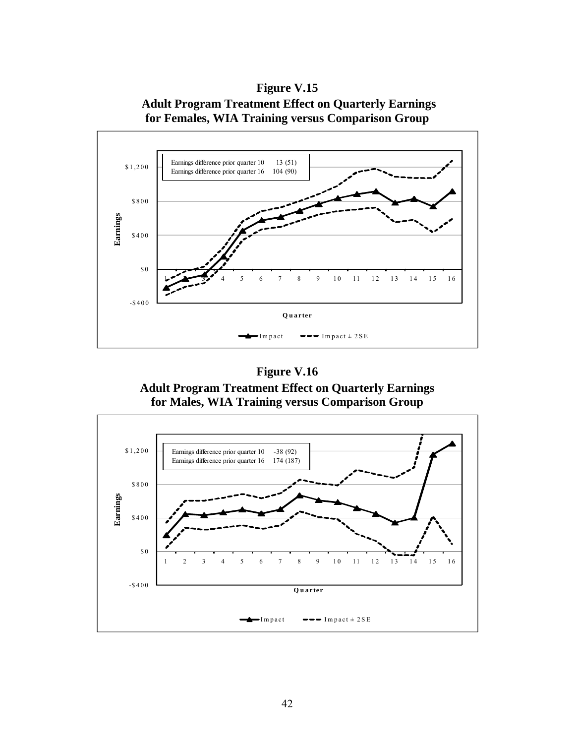**Figure V.15 Adult Program Treatment Effect on Quarterly Earnings for Females, WIA Training versus Comparison Group** 

![](_page_43_Figure_1.jpeg)

**Adult Program Treatment Effect on Quarterly Earnings for Males, WIA Training versus Comparison Group** 

![](_page_43_Figure_4.jpeg)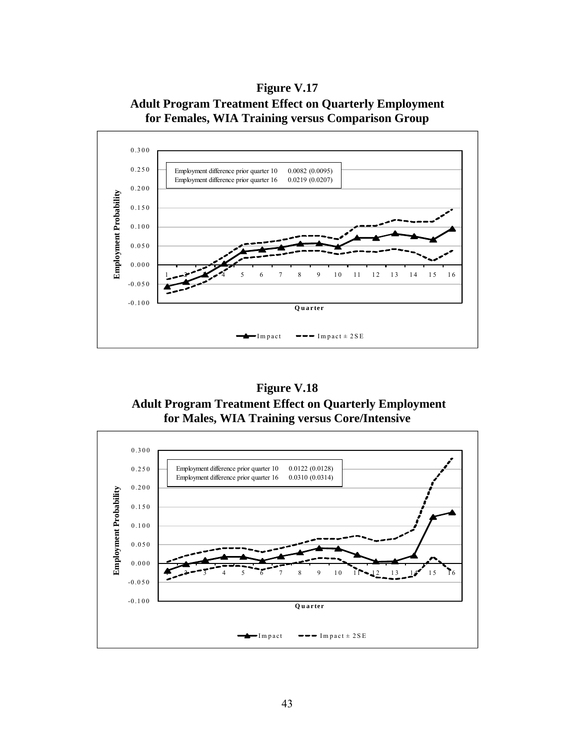**Figure V.17 Adult Program Treatment Effect on Quarterly Employment for Females, WIA Training versus Comparison Group** 

![](_page_44_Figure_1.jpeg)

**Figure V.18 Adult Program Treatment Effect on Quarterly Employment for Males, WIA Training versus Core/Intensive** 

![](_page_44_Figure_3.jpeg)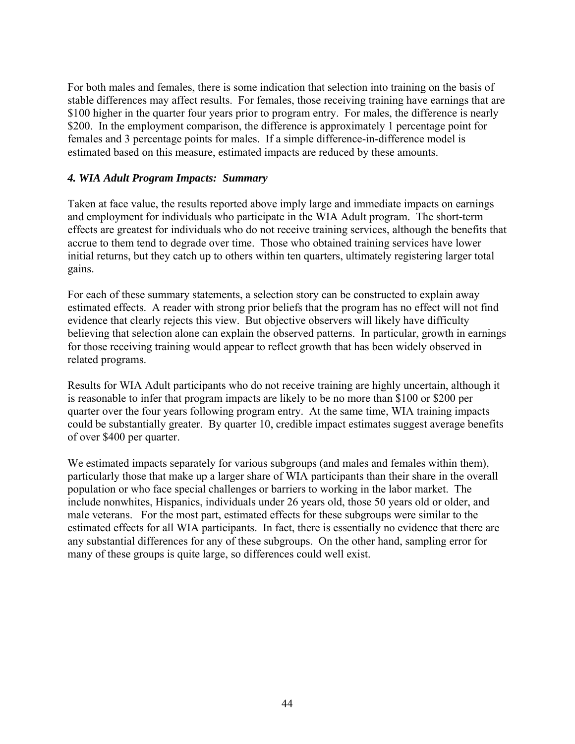For both males and females, there is some indication that selection into training on the basis of stable differences may affect results. For females, those receiving training have earnings that are \$100 higher in the quarter four years prior to program entry. For males, the difference is nearly \$200. In the employment comparison, the difference is approximately 1 percentage point for females and 3 percentage points for males. If a simple difference-in-difference model is estimated based on this measure, estimated impacts are reduced by these amounts.

### *4. WIA Adult Program Impacts: Summary*

Taken at face value, the results reported above imply large and immediate impacts on earnings and employment for individuals who participate in the WIA Adult program. The short-term effects are greatest for individuals who do not receive training services, although the benefits that accrue to them tend to degrade over time. Those who obtained training services have lower initial returns, but they catch up to others within ten quarters, ultimately registering larger total gains.

For each of these summary statements, a selection story can be constructed to explain away estimated effects. A reader with strong prior beliefs that the program has no effect will not find evidence that clearly rejects this view. But objective observers will likely have difficulty believing that selection alone can explain the observed patterns. In particular, growth in earnings for those receiving training would appear to reflect growth that has been widely observed in related programs.

Results for WIA Adult participants who do not receive training are highly uncertain, although it is reasonable to infer that program impacts are likely to be no more than \$100 or \$200 per quarter over the four years following program entry. At the same time, WIA training impacts could be substantially greater. By quarter 10, credible impact estimates suggest average benefits of over \$400 per quarter.

We estimated impacts separately for various subgroups (and males and females within them), particularly those that make up a larger share of WIA participants than their share in the overall population or who face special challenges or barriers to working in the labor market. The include nonwhites, Hispanics, individuals under 26 years old, those 50 years old or older, and male veterans. For the most part, estimated effects for these subgroups were similar to the estimated effects for all WIA participants. In fact, there is essentially no evidence that there are any substantial differences for any of these subgroups. On the other hand, sampling error for many of these groups is quite large, so differences could well exist.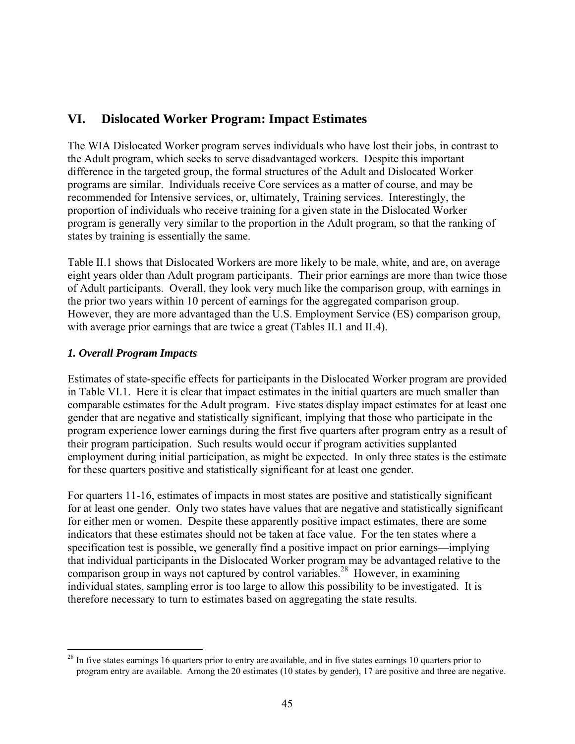# **VI. Dislocated Worker Program: Impact Estimates**

The WIA Dislocated Worker program serves individuals who have lost their jobs, in contrast to the Adult program, which seeks to serve disadvantaged workers. Despite this important difference in the targeted group, the formal structures of the Adult and Dislocated Worker programs are similar. Individuals receive Core services as a matter of course, and may be recommended for Intensive services, or, ultimately, Training services. Interestingly, the proportion of individuals who receive training for a given state in the Dislocated Worker program is generally very similar to the proportion in the Adult program, so that the ranking of states by training is essentially the same.

Table II.1 shows that Dislocated Workers are more likely to be male, white, and are, on average eight years older than Adult program participants. Their prior earnings are more than twice those of Adult participants. Overall, they look very much like the comparison group, with earnings in the prior two years within 10 percent of earnings for the aggregated comparison group. However, they are more advantaged than the U.S. Employment Service (ES) comparison group, with average prior earnings that are twice a great (Tables II.1 and II.4).

#### *1. Overall Program Impacts*

Estimates of state-specific effects for participants in the Dislocated Worker program are provided in Table VI.1. Here it is clear that impact estimates in the initial quarters are much smaller than comparable estimates for the Adult program. Five states display impact estimates for at least one gender that are negative and statistically significant, implying that those who participate in the program experience lower earnings during the first five quarters after program entry as a result of their program participation. Such results would occur if program activities supplanted employment during initial participation, as might be expected. In only three states is the estimate for these quarters positive and statistically significant for at least one gender.

For quarters 11-16, estimates of impacts in most states are positive and statistically significant for at least one gender. Only two states have values that are negative and statistically significant for either men or women. Despite these apparently positive impact estimates, there are some indicators that these estimates should not be taken at face value. For the ten states where a specification test is possible, we generally find a positive impact on prior earnings—implying that individual participants in the Dislocated Worker program may be advantaged relative to the comparison group in ways not captured by control variables.<sup>28</sup> However, in examining individual states, sampling error is too large to allow this possibility to be investigated. It is therefore necessary to turn to estimates based on aggregating the state results.

 $\overline{a}$  $2<sup>28</sup>$  In five states earnings 16 quarters prior to entry are available, and in five states earnings 10 quarters prior to program entry are available. Among the 20 estimates (10 states by gender), 17 are positive and three are negative.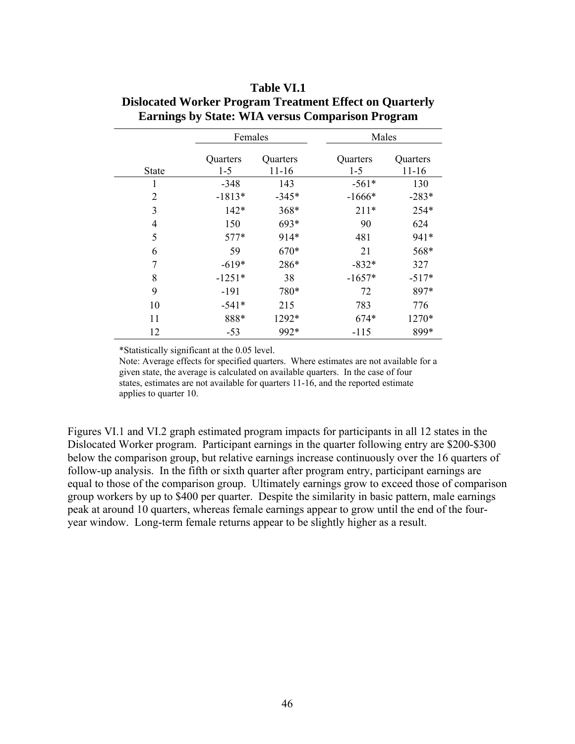|                | Females             |                       | Males               |                       |
|----------------|---------------------|-----------------------|---------------------|-----------------------|
| <b>State</b>   | Quarters<br>$1 - 5$ | Quarters<br>$11 - 16$ | Quarters<br>$1 - 5$ | Quarters<br>$11 - 16$ |
| 1              | $-348$              | 143                   | $-561*$             | 130                   |
| $\overline{2}$ | $-1813*$            | $-345*$               | $-1666*$            | $-283*$               |
| 3              | $142*$              | 368*                  | $211*$              | 254*                  |
| 4              | 150                 | $693*$                | 90                  | 624                   |
| 5              | $577*$              | 914*                  | 481                 | 941*                  |
| 6              | 59                  | 670*                  | 21                  | 568*                  |
| 7              | $-619*$             | 286*                  | $-832*$             | 327                   |
| 8              | $-1251*$            | 38                    | $-1657*$            | $-517*$               |
| 9              | $-191$              | 780*                  | 72                  | 897*                  |
| 10             | $-541*$             | 215                   | 783                 | 776                   |
| 11             | 888*                | 1292*                 | $674*$              | 1270*                 |
| 12             | $-53$               | 992*                  | $-115$              | 899*                  |

## **Table VI.1 Dislocated Worker Program Treatment Effect on Quarterly Earnings by State: WIA versus Comparison Program**

\*Statistically significant at the 0.05 level.

Note: Average effects for specified quarters. Where estimates are not available for a given state, the average is calculated on available quarters. In the case of four states, estimates are not available for quarters 11-16, and the reported estimate applies to quarter 10.

Figures VI.1 and VI.2 graph estimated program impacts for participants in all 12 states in the Dislocated Worker program. Participant earnings in the quarter following entry are \$200-\$300 below the comparison group, but relative earnings increase continuously over the 16 quarters of follow-up analysis. In the fifth or sixth quarter after program entry, participant earnings are equal to those of the comparison group. Ultimately earnings grow to exceed those of comparison group workers by up to \$400 per quarter. Despite the similarity in basic pattern, male earnings peak at around 10 quarters, whereas female earnings appear to grow until the end of the fouryear window. Long-term female returns appear to be slightly higher as a result.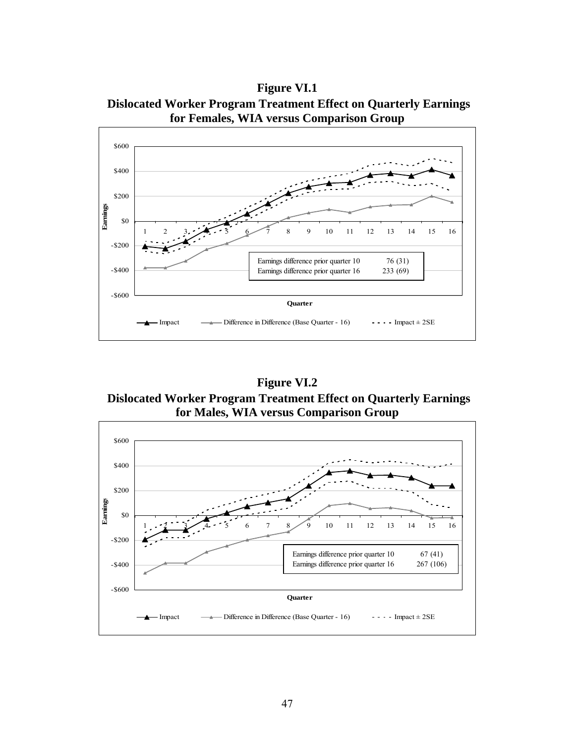**Figure VI.1 Dislocated Worker Program Treatment Effect on Quarterly Earnings for Females, WIA versus Comparison Group** 

![](_page_48_Figure_1.jpeg)

**Figure VI.2 Dislocated Worker Program Treatment Effect on Quarterly Earnings for Males, WIA versus Comparison Group** 

![](_page_48_Figure_3.jpeg)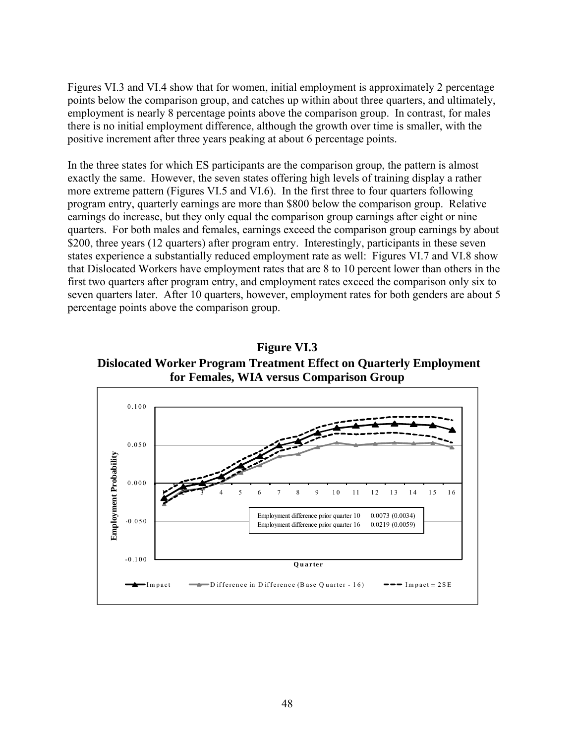Figures VI.3 and VI.4 show that for women, initial employment is approximately 2 percentage points below the comparison group, and catches up within about three quarters, and ultimately, employment is nearly 8 percentage points above the comparison group. In contrast, for males there is no initial employment difference, although the growth over time is smaller, with the positive increment after three years peaking at about 6 percentage points.

In the three states for which ES participants are the comparison group, the pattern is almost exactly the same. However, the seven states offering high levels of training display a rather more extreme pattern (Figures VI.5 and VI.6). In the first three to four quarters following program entry, quarterly earnings are more than \$800 below the comparison group. Relative earnings do increase, but they only equal the comparison group earnings after eight or nine quarters. For both males and females, earnings exceed the comparison group earnings by about \$200, three years (12 quarters) after program entry. Interestingly, participants in these seven states experience a substantially reduced employment rate as well: Figures VI.7 and VI.8 show that Dislocated Workers have employment rates that are 8 to 10 percent lower than others in the first two quarters after program entry, and employment rates exceed the comparison only six to seven quarters later. After 10 quarters, however, employment rates for both genders are about 5 percentage points above the comparison group.

**Figure VI.3 Dislocated Worker Program Treatment Effect on Quarterly Employment for Females, WIA versus Comparison Group** 

![](_page_49_Figure_3.jpeg)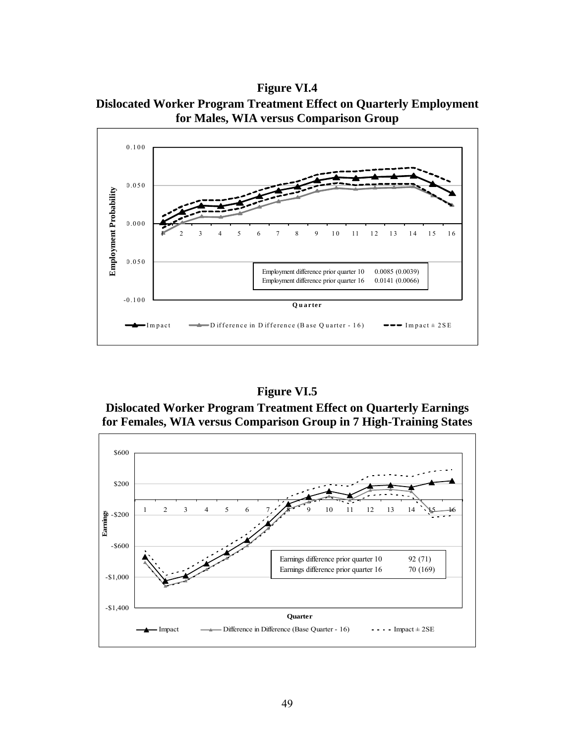**Figure VI.4 Dislocated Worker Program Treatment Effect on Quarterly Employment for Males, WIA versus Comparison Group** 

![](_page_50_Figure_1.jpeg)

**Dislocated Worker Program Treatment Effect on Quarterly Earnings for Females, WIA versus Comparison Group in 7 High-Training States** 

![](_page_50_Figure_4.jpeg)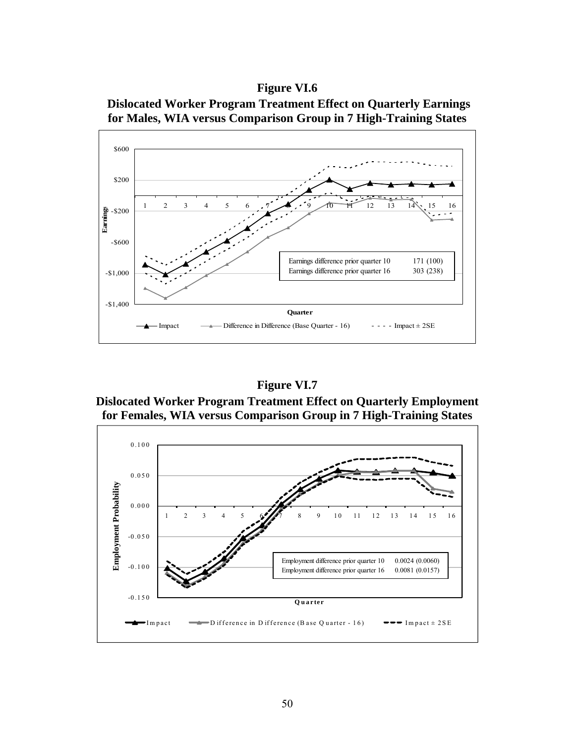![](_page_51_Figure_1.jpeg)

![](_page_51_Figure_2.jpeg)

# **Figure VI.7**

**Dislocated Worker Program Treatment Effect on Quarterly Employment for Females, WIA versus Comparison Group in 7 High-Training States** 

![](_page_51_Figure_5.jpeg)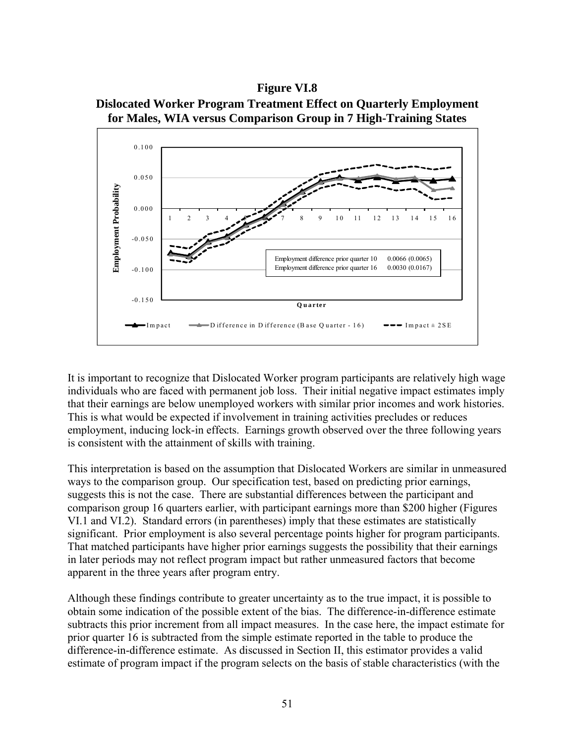![](_page_52_Figure_1.jpeg)

![](_page_52_Figure_2.jpeg)

It is important to recognize that Dislocated Worker program participants are relatively high wage individuals who are faced with permanent job loss. Their initial negative impact estimates imply that their earnings are below unemployed workers with similar prior incomes and work histories. This is what would be expected if involvement in training activities precludes or reduces employment, inducing lock-in effects. Earnings growth observed over the three following years is consistent with the attainment of skills with training.

This interpretation is based on the assumption that Dislocated Workers are similar in unmeasured ways to the comparison group. Our specification test, based on predicting prior earnings, suggests this is not the case. There are substantial differences between the participant and comparison group 16 quarters earlier, with participant earnings more than \$200 higher (Figures VI.1 and VI.2). Standard errors (in parentheses) imply that these estimates are statistically significant. Prior employment is also several percentage points higher for program participants. That matched participants have higher prior earnings suggests the possibility that their earnings in later periods may not reflect program impact but rather unmeasured factors that become apparent in the three years after program entry.

Although these findings contribute to greater uncertainty as to the true impact, it is possible to obtain some indication of the possible extent of the bias. The difference-in-difference estimate subtracts this prior increment from all impact measures. In the case here, the impact estimate for prior quarter 16 is subtracted from the simple estimate reported in the table to produce the difference-in-difference estimate. As discussed in Section II, this estimator provides a valid estimate of program impact if the program selects on the basis of stable characteristics (with the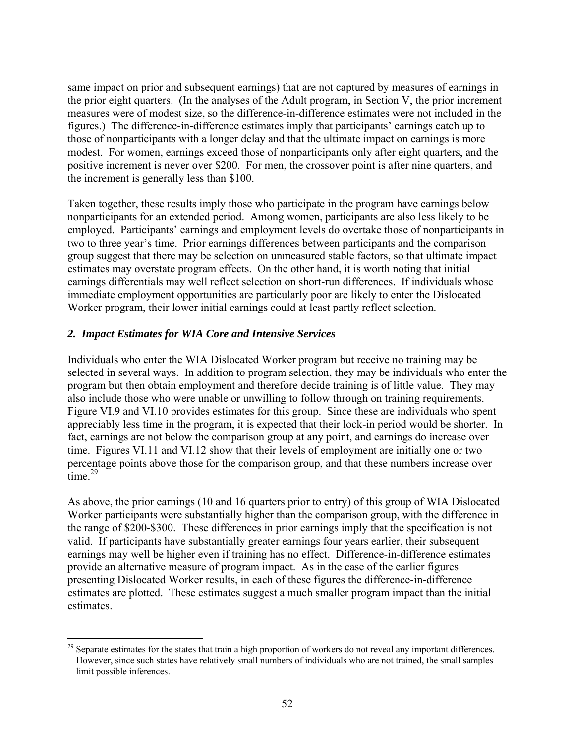same impact on prior and subsequent earnings) that are not captured by measures of earnings in the prior eight quarters. (In the analyses of the Adult program, in Section V, the prior increment measures were of modest size, so the difference-in-difference estimates were not included in the figures.) The difference-in-difference estimates imply that participants' earnings catch up to those of nonparticipants with a longer delay and that the ultimate impact on earnings is more modest. For women, earnings exceed those of nonparticipants only after eight quarters, and the positive increment is never over \$200. For men, the crossover point is after nine quarters, and the increment is generally less than \$100.

Taken together, these results imply those who participate in the program have earnings below nonparticipants for an extended period. Among women, participants are also less likely to be employed. Participants' earnings and employment levels do overtake those of nonparticipants in two to three year's time. Prior earnings differences between participants and the comparison group suggest that there may be selection on unmeasured stable factors, so that ultimate impact estimates may overstate program effects. On the other hand, it is worth noting that initial earnings differentials may well reflect selection on short-run differences. If individuals whose immediate employment opportunities are particularly poor are likely to enter the Dislocated Worker program, their lower initial earnings could at least partly reflect selection.

#### *2. Impact Estimates for WIA Core and Intensive Services*

 $\overline{a}$ 

Individuals who enter the WIA Dislocated Worker program but receive no training may be selected in several ways. In addition to program selection, they may be individuals who enter the program but then obtain employment and therefore decide training is of little value. They may also include those who were unable or unwilling to follow through on training requirements. Figure VI.9 and VI.10 provides estimates for this group. Since these are individuals who spent appreciably less time in the program, it is expected that their lock-in period would be shorter. In fact, earnings are not below the comparison group at any point, and earnings do increase over time. Figures VI.11 and VI.12 show that their levels of employment are initially one or two percentage points above those for the comparison group, and that these numbers increase over time. $29$ 

As above, the prior earnings (10 and 16 quarters prior to entry) of this group of WIA Dislocated Worker participants were substantially higher than the comparison group, with the difference in the range of \$200-\$300. These differences in prior earnings imply that the specification is not valid. If participants have substantially greater earnings four years earlier, their subsequent earnings may well be higher even if training has no effect. Difference-in-difference estimates provide an alternative measure of program impact. As in the case of the earlier figures presenting Dislocated Worker results, in each of these figures the difference-in-difference estimates are plotted. These estimates suggest a much smaller program impact than the initial estimates.

<sup>&</sup>lt;sup>29</sup> Separate estimates for the states that train a high proportion of workers do not reveal any important differences. However, since such states have relatively small numbers of individuals who are not trained, the small samples limit possible inferences.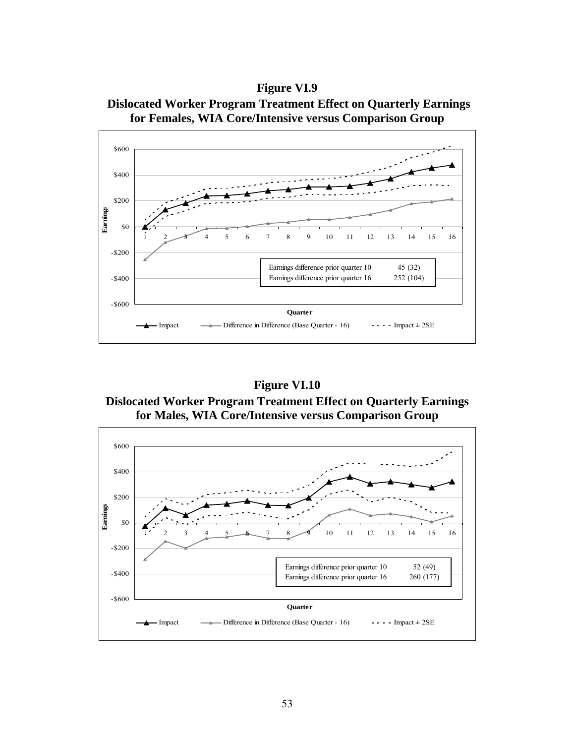**Figure VI.9 Dislocated Worker Program Treatment Effect on Quarterly Earnings for Females, WIA Core/Intensive versus Comparison Group** 

![](_page_54_Figure_1.jpeg)

**Figure VI.10 Dislocated Worker Program Treatment Effect on Quarterly Earnings for Males, WIA Core/Intensive versus Comparison Group** 

![](_page_54_Figure_3.jpeg)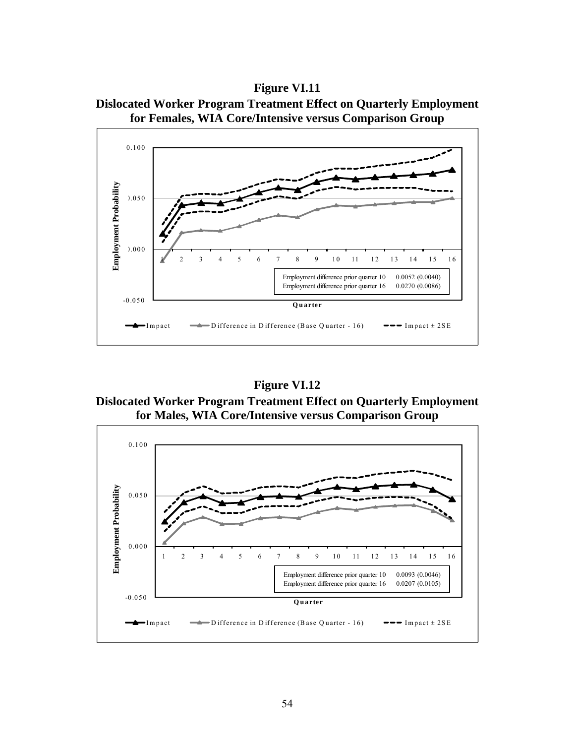**Figure VI.11** 

![](_page_55_Figure_1.jpeg)

![](_page_55_Figure_2.jpeg)

**Figure VI.12** 

**Dislocated Worker Program Treatment Effect on Quarterly Employment for Males, WIA Core/Intensive versus Comparison Group** 

![](_page_55_Figure_5.jpeg)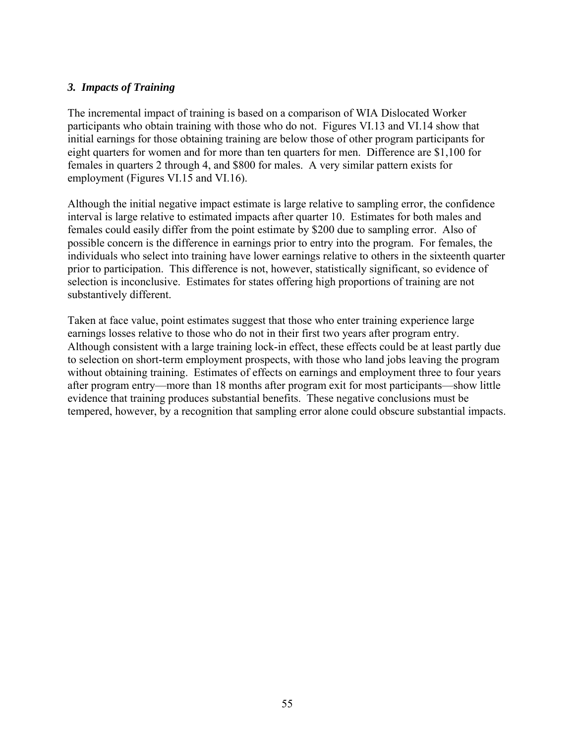#### *3. Impacts of Training*

The incremental impact of training is based on a comparison of WIA Dislocated Worker participants who obtain training with those who do not. Figures VI.13 and VI.14 show that initial earnings for those obtaining training are below those of other program participants for eight quarters for women and for more than ten quarters for men. Difference are \$1,100 for females in quarters 2 through 4, and \$800 for males. A very similar pattern exists for employment (Figures VI.15 and VI.16).

Although the initial negative impact estimate is large relative to sampling error, the confidence interval is large relative to estimated impacts after quarter 10. Estimates for both males and females could easily differ from the point estimate by \$200 due to sampling error. Also of possible concern is the difference in earnings prior to entry into the program. For females, the individuals who select into training have lower earnings relative to others in the sixteenth quarter prior to participation. This difference is not, however, statistically significant, so evidence of selection is inconclusive. Estimates for states offering high proportions of training are not substantively different.

Taken at face value, point estimates suggest that those who enter training experience large earnings losses relative to those who do not in their first two years after program entry. Although consistent with a large training lock-in effect, these effects could be at least partly due to selection on short-term employment prospects, with those who land jobs leaving the program without obtaining training. Estimates of effects on earnings and employment three to four years after program entry—more than 18 months after program exit for most participants—show little evidence that training produces substantial benefits. These negative conclusions must be tempered, however, by a recognition that sampling error alone could obscure substantial impacts.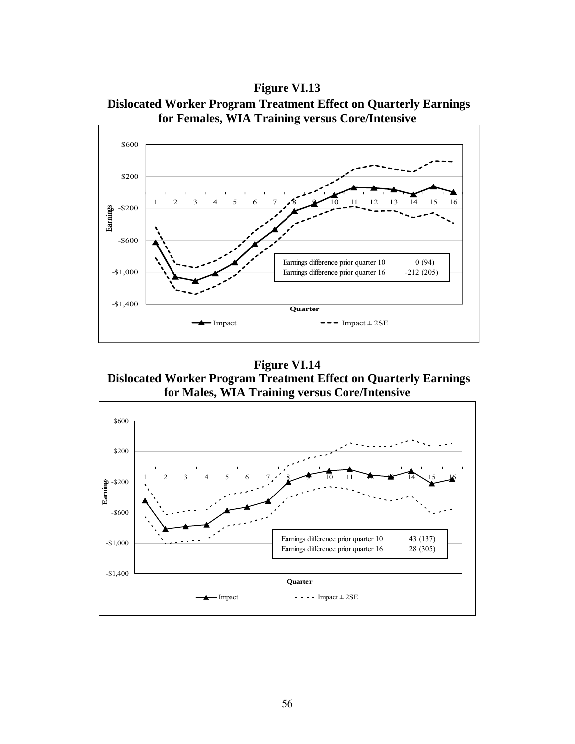**Figure VI.13 Dislocated Worker Program Treatment Effect on Quarterly Earnings for Females, WIA Training versus Core/Intensive** 

![](_page_57_Figure_1.jpeg)

**Figure VI.14 Dislocated Worker Program Treatment Effect on Quarterly Earnings for Males, WIA Training versus Core/Intensive** 

![](_page_57_Figure_3.jpeg)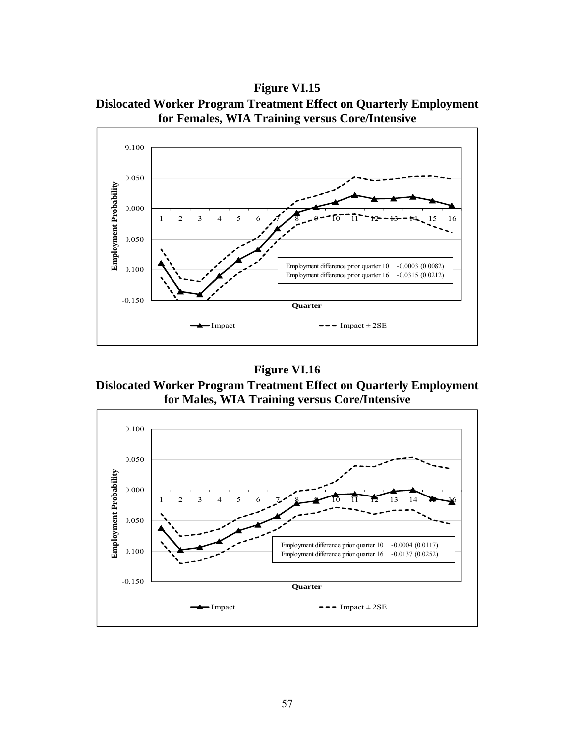**Figure VI.15 Dislocated Worker Program Treatment Effect on Quarterly Employment for Females, WIA Training versus Core/Intensive** 

![](_page_58_Figure_1.jpeg)

**Dislocated Worker Program Treatment Effect on Quarterly Employment for Males, WIA Training versus Core/Intensive** 

![](_page_58_Figure_4.jpeg)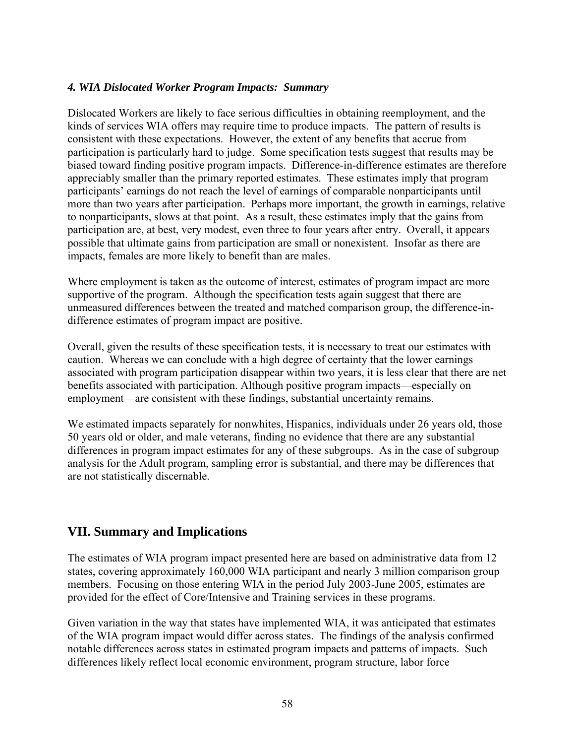#### *4. WIA Dislocated Worker Program Impacts: Summary*

Dislocated Workers are likely to face serious difficulties in obtaining reemployment, and the kinds of services WIA offers may require time to produce impacts. The pattern of results is consistent with these expectations. However, the extent of any benefits that accrue from participation is particularly hard to judge. Some specification tests suggest that results may be biased toward finding positive program impacts. Difference-in-difference estimates are therefore appreciably smaller than the primary reported estimates. These estimates imply that program participants' earnings do not reach the level of earnings of comparable nonparticipants until more than two years after participation. Perhaps more important, the growth in earnings, relative to nonparticipants, slows at that point. As a result, these estimates imply that the gains from participation are, at best, very modest, even three to four years after entry. Overall, it appears possible that ultimate gains from participation are small or nonexistent. Insofar as there are impacts, females are more likely to benefit than are males.

Where employment is taken as the outcome of interest, estimates of program impact are more supportive of the program. Although the specification tests again suggest that there are unmeasured differences between the treated and matched comparison group, the difference-indifference estimates of program impact are positive.

Overall, given the results of these specification tests, it is necessary to treat our estimates with caution. Whereas we can conclude with a high degree of certainty that the lower earnings associated with program participation disappear within two years, it is less clear that there are net benefits associated with participation. Although positive program impacts—especially on employment—are consistent with these findings, substantial uncertainty remains.

We estimated impacts separately for nonwhites, Hispanics, individuals under 26 years old, those 50 years old or older, and male veterans, finding no evidence that there are any substantial differences in program impact estimates for any of these subgroups. As in the case of subgroup analysis for the Adult program, sampling error is substantial, and there may be differences that are not statistically discernable.

# **VII. Summary and Implications**

The estimates of WIA program impact presented here are based on administrative data from 12 states, covering approximately 160,000 WIA participant and nearly 3 million comparison group members. Focusing on those entering WIA in the period July 2003-June 2005, estimates are provided for the effect of Core/Intensive and Training services in these programs.

Given variation in the way that states have implemented WIA, it was anticipated that estimates of the WIA program impact would differ across states. The findings of the analysis confirmed notable differences across states in estimated program impacts and patterns of impacts. Such differences likely reflect local economic environment, program structure, labor force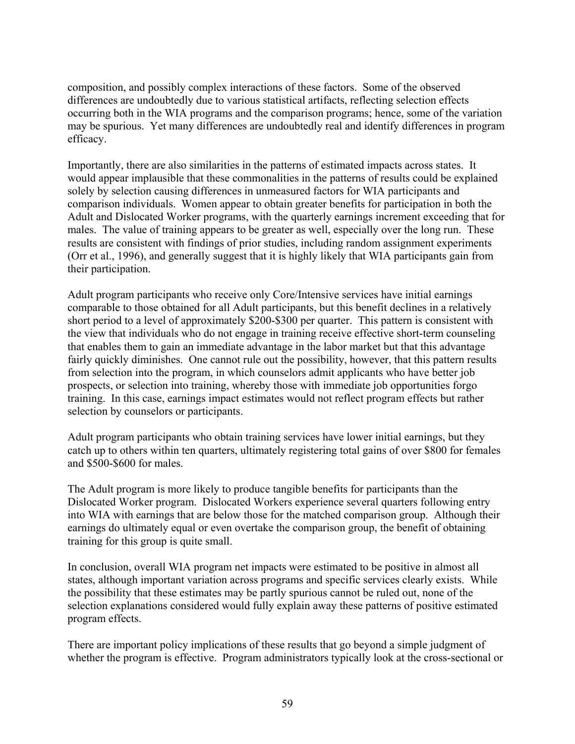composition, and possibly complex interactions of these factors. Some of the observed differences are undoubtedly due to various statistical artifacts, reflecting selection effects occurring both in the WIA programs and the comparison programs; hence, some of the variation may be spurious. Yet many differences are undoubtedly real and identify differences in program efficacy.

Importantly, there are also similarities in the patterns of estimated impacts across states. It would appear implausible that these commonalities in the patterns of results could be explained solely by selection causing differences in unmeasured factors for WIA participants and comparison individuals. Women appear to obtain greater benefits for participation in both the Adult and Dislocated Worker programs, with the quarterly earnings increment exceeding that for males. The value of training appears to be greater as well, especially over the long run. These results are consistent with findings of prior studies, including random assignment experiments (Orr et al., 1996), and generally suggest that it is highly likely that WIA participants gain from their participation.

Adult program participants who receive only Core/Intensive services have initial earnings comparable to those obtained for all Adult participants, but this benefit declines in a relatively short period to a level of approximately \$200-\$300 per quarter. This pattern is consistent with the view that individuals who do not engage in training receive effective short-term counseling that enables them to gain an immediate advantage in the labor market but that this advantage fairly quickly diminishes. One cannot rule out the possibility, however, that this pattern results from selection into the program, in which counselors admit applicants who have better job prospects, or selection into training, whereby those with immediate job opportunities forgo training. In this case, earnings impact estimates would not reflect program effects but rather selection by counselors or participants.

Adult program participants who obtain training services have lower initial earnings, but they catch up to others within ten quarters, ultimately registering total gains of over \$800 for females and \$500-\$600 for males.

The Adult program is more likely to produce tangible benefits for participants than the Dislocated Worker program. Dislocated Workers experience several quarters following entry into WIA with earnings that are below those for the matched comparison group. Although their earnings do ultimately equal or even overtake the comparison group, the benefit of obtaining training for this group is quite small.

In conclusion, overall WIA program net impacts were estimated to be positive in almost all states, although important variation across programs and specific services clearly exists. While the possibility that these estimates may be partly spurious cannot be ruled out, none of the selection explanations considered would fully explain away these patterns of positive estimated program effects.

There are important policy implications of these results that go beyond a simple judgment of whether the program is effective. Program administrators typically look at the cross-sectional or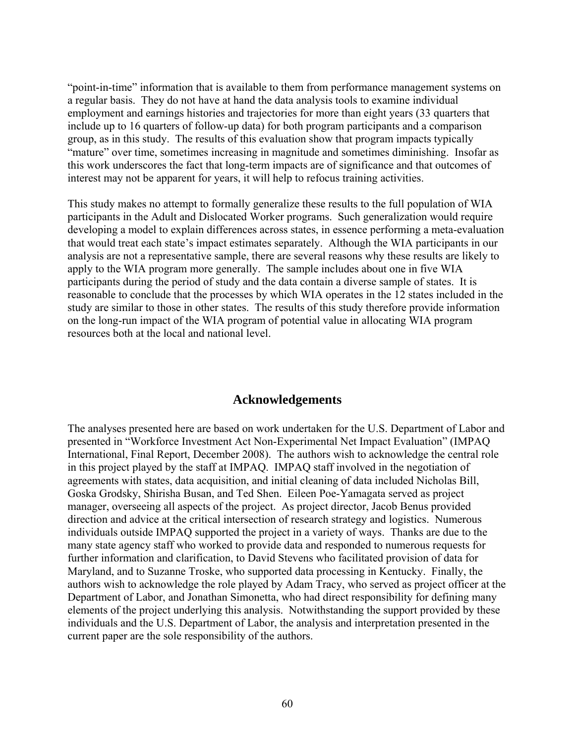"point-in-time" information that is available to them from performance management systems on a regular basis. They do not have at hand the data analysis tools to examine individual employment and earnings histories and trajectories for more than eight years (33 quarters that include up to 16 quarters of follow-up data) for both program participants and a comparison group, as in this study. The results of this evaluation show that program impacts typically "mature" over time, sometimes increasing in magnitude and sometimes diminishing. Insofar as this work underscores the fact that long-term impacts are of significance and that outcomes of interest may not be apparent for years, it will help to refocus training activities.

This study makes no attempt to formally generalize these results to the full population of WIA participants in the Adult and Dislocated Worker programs. Such generalization would require developing a model to explain differences across states, in essence performing a meta-evaluation that would treat each state's impact estimates separately. Although the WIA participants in our analysis are not a representative sample, there are several reasons why these results are likely to apply to the WIA program more generally. The sample includes about one in five WIA participants during the period of study and the data contain a diverse sample of states. It is reasonable to conclude that the processes by which WIA operates in the 12 states included in the study are similar to those in other states. The results of this study therefore provide information on the long-run impact of the WIA program of potential value in allocating WIA program resources both at the local and national level.

### **Acknowledgements**

The analyses presented here are based on work undertaken for the U.S. Department of Labor and presented in "Workforce Investment Act Non-Experimental Net Impact Evaluation" (IMPAQ International, Final Report, December 2008). The authors wish to acknowledge the central role in this project played by the staff at IMPAQ. IMPAQ staff involved in the negotiation of agreements with states, data acquisition, and initial cleaning of data included Nicholas Bill, Goska Grodsky, Shirisha Busan, and Ted Shen. Eileen Poe-Yamagata served as project manager, overseeing all aspects of the project. As project director, Jacob Benus provided direction and advice at the critical intersection of research strategy and logistics. Numerous individuals outside IMPAQ supported the project in a variety of ways. Thanks are due to the many state agency staff who worked to provide data and responded to numerous requests for further information and clarification, to David Stevens who facilitated provision of data for Maryland, and to Suzanne Troske, who supported data processing in Kentucky. Finally, the authors wish to acknowledge the role played by Adam Tracy, who served as project officer at the Department of Labor, and Jonathan Simonetta, who had direct responsibility for defining many elements of the project underlying this analysis. Notwithstanding the support provided by these individuals and the U.S. Department of Labor, the analysis and interpretation presented in the current paper are the sole responsibility of the authors.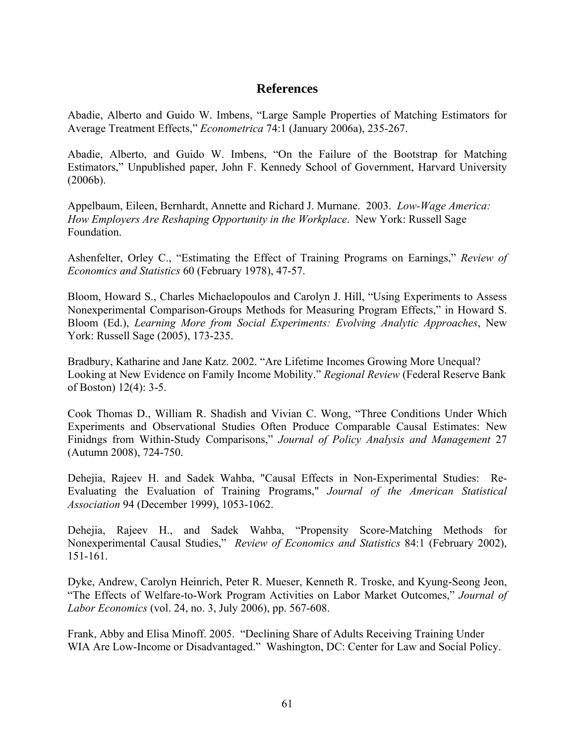### **References**

Abadie, Alberto and Guido W. Imbens, "Large Sample Properties of Matching Estimators for Average Treatment Effects," *Econometrica* 74:1 (January 2006a), 235-267.

Abadie, Alberto, and Guido W. Imbens, "On the Failure of the Bootstrap for Matching Estimators," Unpublished paper, John F. Kennedy School of Government, Harvard University (2006b).

Appelbaum, Eileen, Bernhardt, Annette and Richard J. Murnane. 2003. *Low-Wage America: How Employers Are Reshaping Opportunity in the Workplace*. New York: Russell Sage Foundation.

Ashenfelter, Orley C., "Estimating the Effect of Training Programs on Earnings," *Review of Economics and Statistics* 60 (February 1978), 47-57.

Bloom, Howard S., Charles Michaelopoulos and Carolyn J. Hill, "Using Experiments to Assess Nonexperimental Comparison-Groups Methods for Measuring Program Effects," in Howard S. Bloom (Ed.), *Learning More from Social Experiments: Evolving Analytic Approaches*, New York: Russell Sage (2005), 173-235.

Bradbury, Katharine and Jane Katz. 2002. "Are Lifetime Incomes Growing More Unequal? Looking at New Evidence on Family Income Mobility." *Regional Review* (Federal Reserve Bank of Boston) 12(4): 3-5.

Cook Thomas D., William R. Shadish and Vivian C. Wong, "Three Conditions Under Which Experiments and Observational Studies Often Produce Comparable Causal Estimates: New Finidngs from Within-Study Comparisons," *Journal of Policy Analysis and Management* 27 (Autumn 2008), 724-750.

Dehejia, Rajeev H. and Sadek Wahba, "Causal Effects in Non-Experimental Studies: Re-Evaluating the Evaluation of Training Programs," *Journal of the American Statistical Association* 94 (December 1999), 1053-1062.

Dehejia, Rajeev H., and Sadek Wahba, "Propensity Score-Matching Methods for Nonexperimental Causal Studies," *Review of Economics and Statistics* 84:1 (February 2002), 151-161.

Dyke, Andrew, Carolyn Heinrich, Peter R. Mueser, Kenneth R. Troske, and Kyung-Seong Jeon, "The Effects of Welfare-to-Work Program Activities on Labor Market Outcomes," *Journal of Labor Economics* (vol. 24, no. 3, July 2006), pp. 567-608.

Frank, Abby and Elisa Minoff. 2005. "Declining Share of Adults Receiving Training Under WIA Are Low-Income or Disadvantaged." Washington, DC: Center for Law and Social Policy.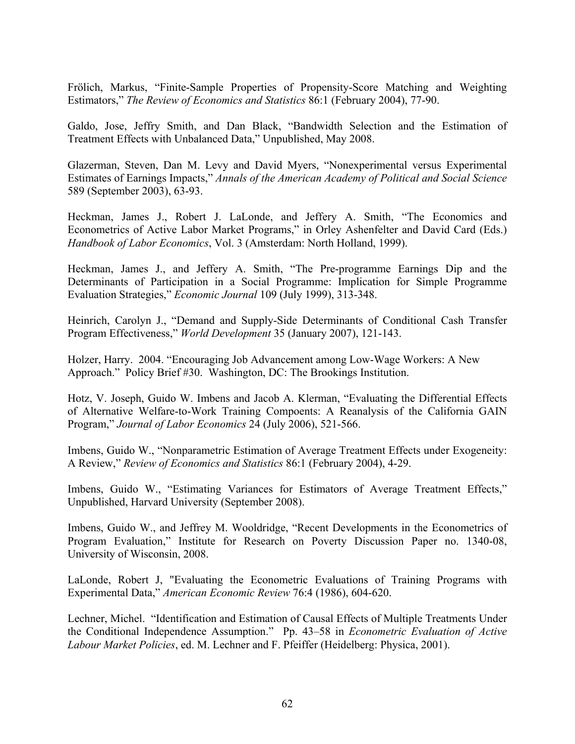Frölich, Markus, "Finite-Sample Properties of Propensity-Score Matching and Weighting Estimators," *The Review of Economics and Statistics* 86:1 (February 2004), 77-90.

Galdo, Jose, Jeffry Smith, and Dan Black, "Bandwidth Selection and the Estimation of Treatment Effects with Unbalanced Data," Unpublished, May 2008.

Glazerman, Steven, Dan M. Levy and David Myers, "Nonexperimental versus Experimental Estimates of Earnings Impacts," *Annals of the American Academy of Political and Social Science*  589 (September 2003), 63-93.

Heckman, James J., Robert J. LaLonde, and Jeffery A. Smith, "The Economics and Econometrics of Active Labor Market Programs," in Orley Ashenfelter and David Card (Eds.) *Handbook of Labor Economics*, Vol. 3 (Amsterdam: North Holland, 1999).

Heckman, James J., and Jeffery A. Smith, "The Pre-programme Earnings Dip and the Determinants of Participation in a Social Programme: Implication for Simple Programme Evaluation Strategies," *Economic Journal* 109 (July 1999), 313-348.

Heinrich, Carolyn J., "Demand and Supply-Side Determinants of Conditional Cash Transfer Program Effectiveness," *World Development* 35 (January 2007), 121-143.

Holzer, Harry. 2004. "Encouraging Job Advancement among Low-Wage Workers: A New Approach." Policy Brief #30. Washington, DC: The Brookings Institution.

Hotz, V. Joseph, Guido W. Imbens and Jacob A. Klerman, "Evaluating the Differential Effects of Alternative Welfare-to-Work Training Compoents: A Reanalysis of the California GAIN Program," *Journal of Labor Economics* 24 (July 2006), 521-566.

Imbens, Guido W., "Nonparametric Estimation of Average Treatment Effects under Exogeneity: A Review," *Review of Economics and Statistics* 86:1 (February 2004), 4-29.

Imbens, Guido W., "Estimating Variances for Estimators of Average Treatment Effects," Unpublished, Harvard University (September 2008).

Imbens, Guido W., and Jeffrey M. Wooldridge, "Recent Developments in the Econometrics of Program Evaluation," Institute for Research on Poverty Discussion Paper no. 1340-08, University of Wisconsin, 2008.

LaLonde, Robert J, "Evaluating the Econometric Evaluations of Training Programs with Experimental Data," *American Economic Review* 76:4 (1986), 604-620.

Lechner, Michel. "Identification and Estimation of Causal Effects of Multiple Treatments Under the Conditional Independence Assumption." Pp. 43–58 in *Econometric Evaluation of Active Labour Market Policies*, ed. M. Lechner and F. Pfeiffer (Heidelberg: Physica, 2001).